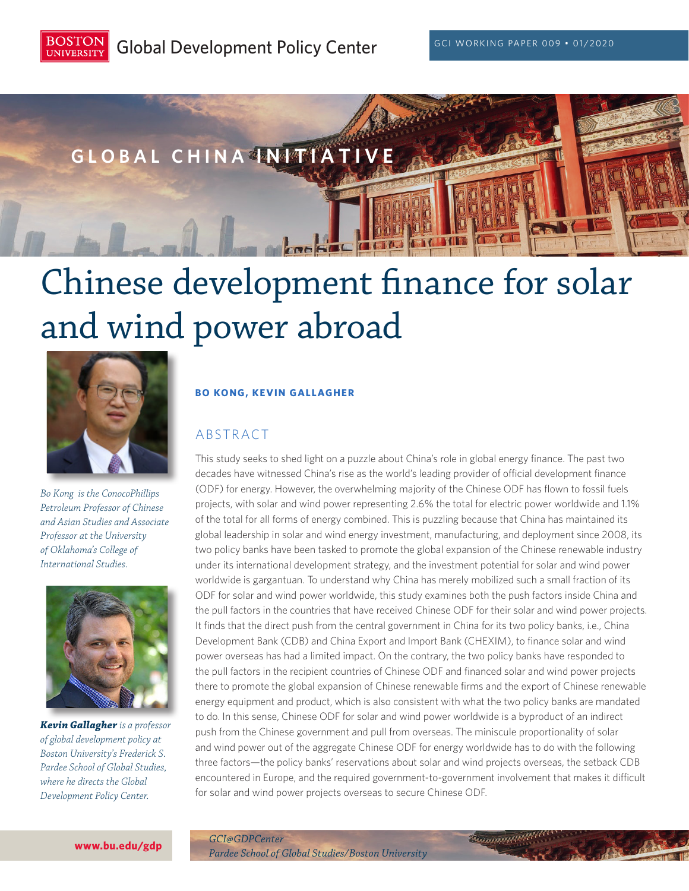



# Chinese development finance for solar and wind power abroad



*Bo Kong is the ConocoPhillips Petroleum Professor of Chinese and Asian Studies and Associate Professor at the University of Oklahoma's College of International Studies.* 



*Kevin Gallagher is a professor of global development policy at Boston University's Frederick S. Pardee School of Global Studies, where he directs the Global Development Policy Center.*

# **BO KONG, KEVIN GALLAGHER**

# ABSTRACT

This study seeks to shed light on a puzzle about China's role in global energy finance. The past two decades have witnessed China's rise as the world's leading provider of official development finance (ODF) for energy. However, the overwhelming majority of the Chinese ODF has flown to fossil fuels projects, with solar and wind power representing 2.6% the total for electric power worldwide and 1.1% of the total for all forms of energy combined. This is puzzling because that China has maintained its global leadership in solar and wind energy investment, manufacturing, and deployment since 2008, its two policy banks have been tasked to promote the global expansion of the Chinese renewable industry under its international development strategy, and the investment potential for solar and wind power worldwide is gargantuan. To understand why China has merely mobilized such a small fraction of its ODF for solar and wind power worldwide, this study examines both the push factors inside China and the pull factors in the countries that have received Chinese ODF for their solar and wind power projects. It finds that the direct push from the central government in China for its two policy banks, i.e., China Development Bank (CDB) and China Export and Import Bank (CHEXIM), to finance solar and wind power overseas has had a limited impact. On the contrary, the two policy banks have responded to the pull factors in the recipient countries of Chinese ODF and financed solar and wind power projects there to promote the global expansion of Chinese renewable firms and the export of Chinese renewable energy equipment and product, which is also consistent with what the two policy banks are mandated to do. In this sense, Chinese ODF for solar and wind power worldwide is a byproduct of an indirect push from the Chinese government and pull from overseas. The miniscule proportionality of solar and wind power out of the aggregate Chinese ODF for energy worldwide has to do with the following three factors—the policy banks' reservations about solar and wind projects overseas, the setback CDB encountered in Europe, and the required government-to-government involvement that makes it difficult for solar and wind power projects overseas to secure Chinese ODF.

Recommendable

**www.bu.edu/gdp** *GCI@GDPCenter*

*Pardee School of Global Studies/Boston University*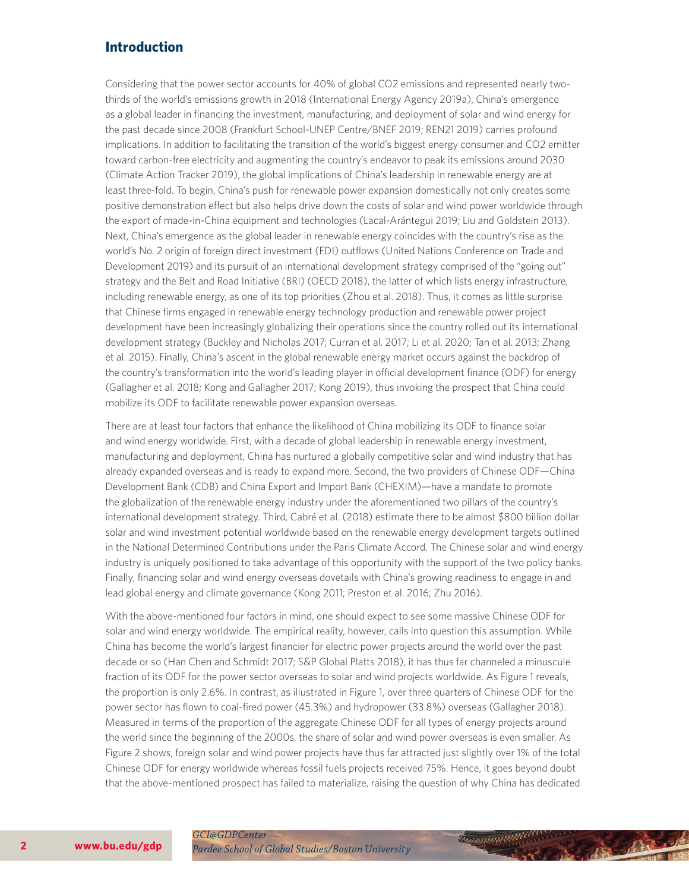# **Introduction**

Considering that the power sector accounts for 40% of global CO2 emissions and represented nearly twothirds of the world's emissions growth in 2018 (International Energy Agency 2019a), China's emergence as a global leader in financing the investment, manufacturing, and deployment of solar and wind energy for the past decade since 2008 (Frankfurt School-UNEP Centre/BNEF 2019; REN21 2019) carries profound implications. In addition to facilitating the transition of the world's biggest energy consumer and CO2 emitter toward carbon-free electricity and augmenting the country's endeavor to peak its emissions around 2030 (Climate Action Tracker 2019), the global implications of China's leadership in renewable energy are at least three-fold. To begin, China's push for renewable power expansion domestically not only creates some positive demonstration effect but also helps drive down the costs of solar and wind power worldwide through the export of made-in-China equipment and technologies (Lacal-Arántegui 2019; Liu and Goldstein 2013). Next, China's emergence as the global leader in renewable energy coincides with the country's rise as the world's No. 2 origin of foreign direct investment (FDI) outflows (United Nations Conference on Trade and Development 2019) and its pursuit of an international development strategy comprised of the "going out" strategy and the Belt and Road Initiative (BRI) (OECD 2018), the latter of which lists energy infrastructure, including renewable energy, as one of its top priorities (Zhou et al. 2018). Thus, it comes as little surprise that Chinese firms engaged in renewable energy technology production and renewable power project development have been increasingly globalizing their operations since the country rolled out its international development strategy (Buckley and Nicholas 2017; Curran et al. 2017; Li et al. 2020; Tan et al. 2013; Zhang et al. 2015). Finally, China's ascent in the global renewable energy market occurs against the backdrop of the country's transformation into the world's leading player in official development finance (ODF) for energy (Gallagher et al. 2018; Kong and Gallagher 2017; Kong 2019), thus invoking the prospect that China could mobilize its ODF to facilitate renewable power expansion overseas.

There are at least four factors that enhance the likelihood of China mobilizing its ODF to finance solar and wind energy worldwide. First, with a decade of global leadership in renewable energy investment, manufacturing and deployment, China has nurtured a globally competitive solar and wind industry that has already expanded overseas and is ready to expand more. Second, the two providers of Chinese ODF—China Development Bank (CDB) and China Export and Import Bank (CHEXIM)—have a mandate to promote the globalization of the renewable energy industry under the aforementioned two pillars of the country's international development strategy. Third, Cabré et al. (2018) estimate there to be almost \$800 billion dollar solar and wind investment potential worldwide based on the renewable energy development targets outlined in the National Determined Contributions under the Paris Climate Accord. The Chinese solar and wind energy industry is uniquely positioned to take advantage of this opportunity with the support of the two policy banks. Finally, financing solar and wind energy overseas dovetails with China's growing readiness to engage in and lead global energy and climate governance (Kong 2011; Preston et al. 2016; Zhu 2016).

With the above-mentioned four factors in mind, one should expect to see some massive Chinese ODF for solar and wind energy worldwide. The empirical reality, however, calls into question this assumption. While China has become the world's largest financier for electric power projects around the world over the past decade or so (Han Chen and Schmidt 2017; S&P Global Platts 2018), it has thus far channeled a minuscule fraction of its ODF for the power sector overseas to solar and wind projects worldwide. As Figure 1 reveals, the proportion is only 2.6%. In contrast, as illustrated in Figure 1, over three quarters of Chinese ODF for the power sector has flown to coal-fired power (45.3%) and hydropower (33.8%) overseas (Gallagher 2018). Measured in terms of the proportion of the aggregate Chinese ODF for all types of energy projects around the world since the beginning of the 2000s, the share of solar and wind power overseas is even smaller. As Figure 2 shows, foreign solar and wind power projects have thus far attracted just slightly over 1% of the total Chinese ODF for energy worldwide whereas fossil fuels projects received 75%. Hence, it goes beyond doubt that the above-mentioned prospect has failed to materialize, raising the question of why China has dedicated

Recommendable

AR AN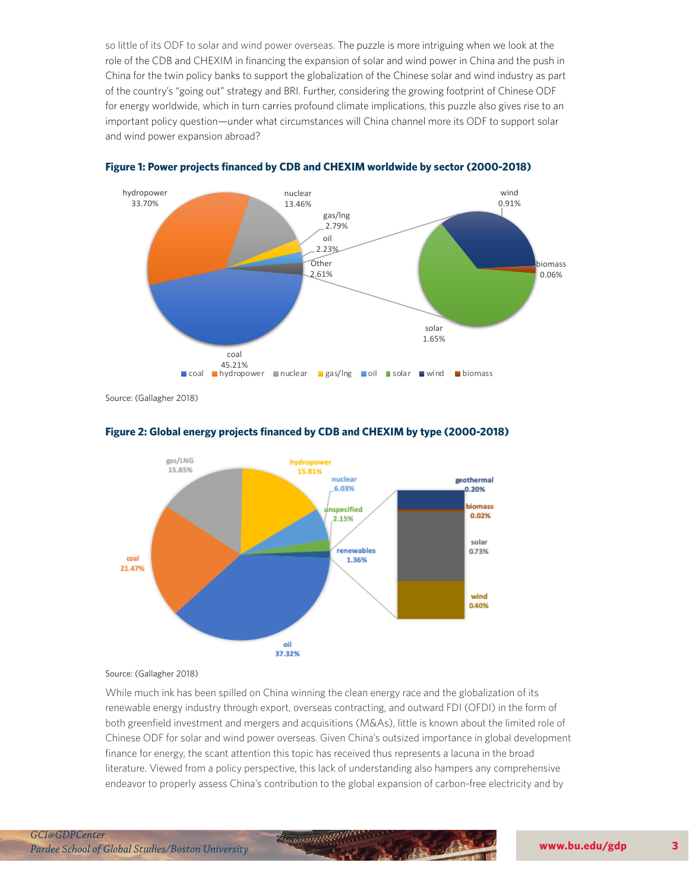so little of its ODF to solar and wind power overseas. The puzzle is more intriguing when we look at the role of the CDB and CHEXIM in financing the expansion of solar and wind power in China and the push in China for the twin policy banks to support the globalization of the Chinese solar and wind industry as part of the country's "going out" strategy and BRI. Further, considering the growing footprint of Chinese ODF for energy worldwide, which in turn carries profound climate implications, this puzzle also gives rise to an important policy question—under what circumstances will China channel more its ODF to support solar and wind power expansion abroad?



**Figure 1: Power projects financed by CDB and CHEXIM worldwide by sector (2000-2018)**

Source: (Gallagher 2018)



## **Figure 2: Global energy projects financed by CDB and CHEXIM by type (2000-2018)**

Source: (Gallagher 2018)

While much ink has been spilled on China winning the clean energy race and the globalization of its renewable energy industry through export, overseas contracting, and outward FDI (OFDI) in the form of both greenfield investment and mergers and acquisitions (M&As), little is known about the limited role of Chinese ODF for solar and wind power overseas. Given China's outsized importance in global development finance for energy, the scant attention this topic has received thus represents a lacuna in the broad literature. Viewed from a policy perspective, this lack of understanding also hampers any comprehensive endeavor to properly assess China's contribution to the global expansion of carbon-free electricity and by

Recommendation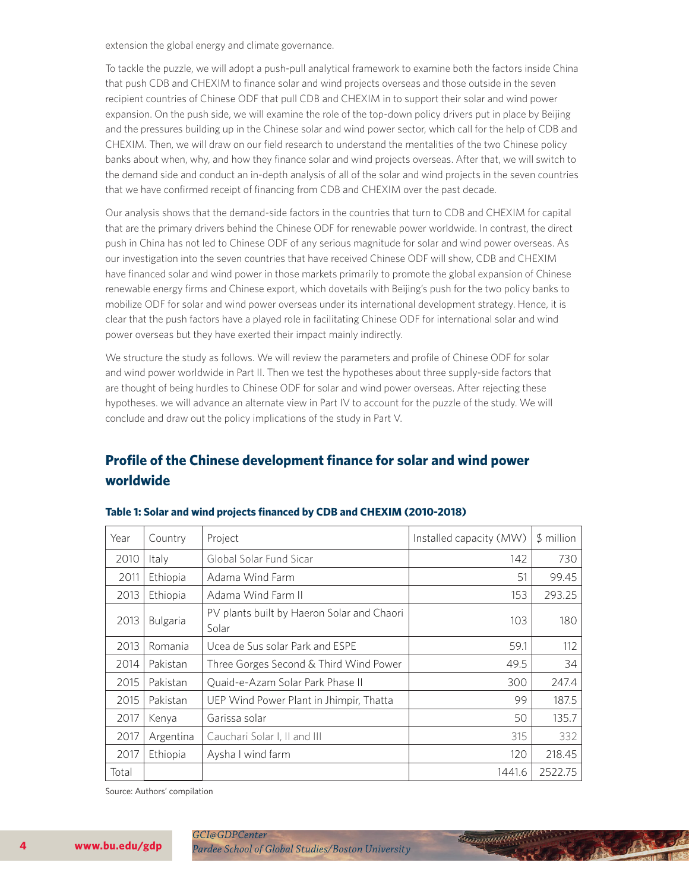extension the global energy and climate governance.

To tackle the puzzle, we will adopt a push-pull analytical framework to examine both the factors inside China that push CDB and CHEXIM to finance solar and wind projects overseas and those outside in the seven recipient countries of Chinese ODF that pull CDB and CHEXIM in to support their solar and wind power expansion. On the push side, we will examine the role of the top-down policy drivers put in place by Beijing and the pressures building up in the Chinese solar and wind power sector, which call for the help of CDB and CHEXIM. Then, we will draw on our field research to understand the mentalities of the two Chinese policy banks about when, why, and how they finance solar and wind projects overseas. After that, we will switch to the demand side and conduct an in-depth analysis of all of the solar and wind projects in the seven countries that we have confirmed receipt of financing from CDB and CHEXIM over the past decade.

Our analysis shows that the demand-side factors in the countries that turn to CDB and CHEXIM for capital that are the primary drivers behind the Chinese ODF for renewable power worldwide. In contrast, the direct push in China has not led to Chinese ODF of any serious magnitude for solar and wind power overseas. As our investigation into the seven countries that have received Chinese ODF will show, CDB and CHEXIM have financed solar and wind power in those markets primarily to promote the global expansion of Chinese renewable energy firms and Chinese export, which dovetails with Beijing's push for the two policy banks to mobilize ODF for solar and wind power overseas under its international development strategy. Hence, it is clear that the push factors have a played role in facilitating Chinese ODF for international solar and wind power overseas but they have exerted their impact mainly indirectly.

We structure the study as follows. We will review the parameters and profile of Chinese ODF for solar and wind power worldwide in Part II. Then we test the hypotheses about three supply-side factors that are thought of being hurdles to Chinese ODF for solar and wind power overseas. After rejecting these hypotheses. we will advance an alternate view in Part IV to account for the puzzle of the study. We will conclude and draw out the policy implications of the study in Part V.

# **Profile of the Chinese development finance for solar and wind power worldwide**

| Year  | Country   | Project                                             | Installed capacity (MW) | $$$ million |
|-------|-----------|-----------------------------------------------------|-------------------------|-------------|
| 2010  | Italy     | Global Solar Fund Sicar                             | 142                     | 730         |
| 2011  | Ethiopia  | Adama Wind Farm                                     | .51                     | 99.45       |
| 2013  | Ethiopia  | Adama Wind Farm II                                  | 153                     | 293.25      |
| 2013  | Bulgaria  | PV plants built by Haeron Solar and Chaori<br>Solar | 103                     | 180         |
| 2013  | Romania   | Ucea de Sus solar Park and ESPE                     | 59.1                    | 112         |
| 2014  | Pakistan  | Three Gorges Second & Third Wind Power              | 49.5                    | 34          |
| 2015  | Pakistan  | Quaid-e-Azam Solar Park Phase II                    | 300                     | 247.4       |
| 2015  | Pakistan  | UEP Wind Power Plant in Jhimpir, Thatta             | 99                      | 187.5       |
| 2017  | Kenya     | Garissa solar                                       | 50                      | 135.7       |
| 2017  | Argentina | Cauchari Solar I, II and III                        | 315                     | 332         |
| 2017  | Ethiopia  | Aysha I wind farm                                   | 120                     | 218.45      |
| Total |           |                                                     | 1441.6                  | 2522.75     |

Recommended !!!

A BAN

#### **Table 1: Solar and wind projects financed by CDB and CHEXIM (2010-2018)**

Source: Authors' compilation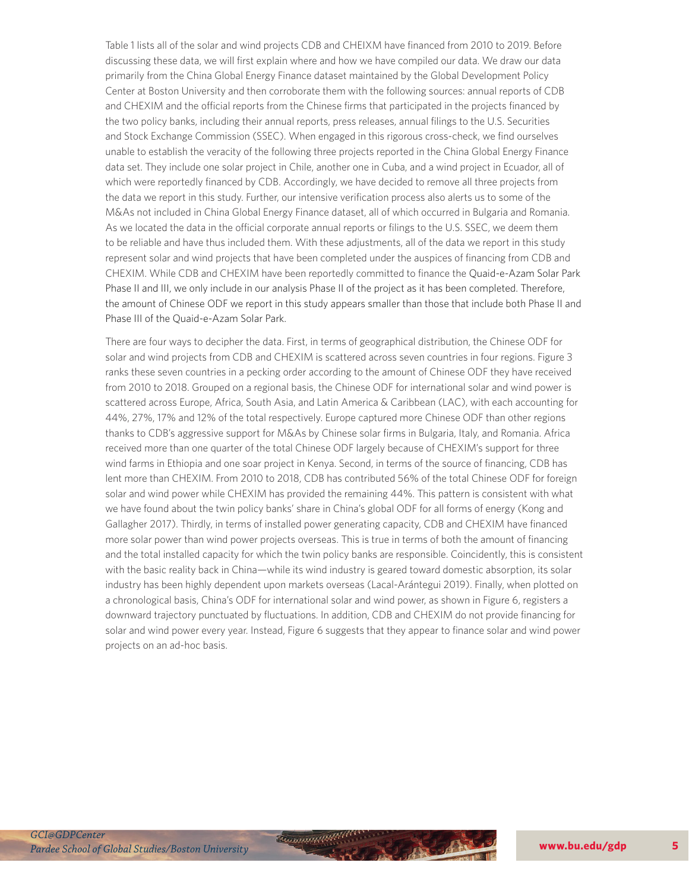Table 1 lists all of the solar and wind projects CDB and CHEIXM have financed from 2010 to 2019. Before discussing these data, we will first explain where and how we have compiled our data. We draw our data primarily from the China Global Energy Finance dataset maintained by the Global Development Policy Center at Boston University and then corroborate them with the following sources: annual reports of CDB and CHEXIM and the official reports from the Chinese firms that participated in the projects financed by the two policy banks, including their annual reports, press releases, annual filings to the U.S. Securities and Stock Exchange Commission (SSEC). When engaged in this rigorous cross-check, we find ourselves unable to establish the veracity of the following three projects reported in the China Global Energy Finance data set. They include one solar project in Chile, another one in Cuba, and a wind project in Ecuador, all of which were reportedly financed by CDB. Accordingly, we have decided to remove all three projects from the data we report in this study. Further, our intensive verification process also alerts us to some of the M&As not included in China Global Energy Finance dataset, all of which occurred in Bulgaria and Romania. As we located the data in the official corporate annual reports or filings to the U.S. SSEC, we deem them to be reliable and have thus included them. With these adjustments, all of the data we report in this study represent solar and wind projects that have been completed under the auspices of financing from CDB and CHEXIM. While CDB and CHEXIM have been reportedly committed to finance the Quaid-e-Azam Solar Park Phase II and III, we only include in our analysis Phase II of the project as it has been completed. Therefore, the amount of Chinese ODF we report in this study appears smaller than those that include both Phase II and Phase III of the Quaid-e-Azam Solar Park.

There are four ways to decipher the data. First, in terms of geographical distribution, the Chinese ODF for solar and wind projects from CDB and CHEXIM is scattered across seven countries in four regions. Figure 3 ranks these seven countries in a pecking order according to the amount of Chinese ODF they have received from 2010 to 2018. Grouped on a regional basis, the Chinese ODF for international solar and wind power is scattered across Europe, Africa, South Asia, and Latin America & Caribbean (LAC), with each accounting for 44%, 27%, 17% and 12% of the total respectively. Europe captured more Chinese ODF than other regions thanks to CDB's aggressive support for M&As by Chinese solar firms in Bulgaria, Italy, and Romania. Africa received more than one quarter of the total Chinese ODF largely because of CHEXIM's support for three wind farms in Ethiopia and one soar project in Kenya. Second, in terms of the source of financing, CDB has lent more than CHEXIM. From 2010 to 2018, CDB has contributed 56% of the total Chinese ODF for foreign solar and wind power while CHEXIM has provided the remaining 44%. This pattern is consistent with what we have found about the twin policy banks' share in China's global ODF for all forms of energy (Kong and Gallagher 2017). Thirdly, in terms of installed power generating capacity, CDB and CHEXIM have financed more solar power than wind power projects overseas. This is true in terms of both the amount of financing and the total installed capacity for which the twin policy banks are responsible. Coincidently, this is consistent with the basic reality back in China—while its wind industry is geared toward domestic absorption, its solar industry has been highly dependent upon markets overseas (Lacal-Arántegui 2019). Finally, when plotted on a chronological basis, China's ODF for international solar and wind power, as shown in Figure 6, registers a downward trajectory punctuated by fluctuations. In addition, CDB and CHEXIM do not provide financing for solar and wind power every year. Instead, Figure 6 suggests that they appear to finance solar and wind power projects on an ad-hoc basis.

**Community of the Community** 

A. A.

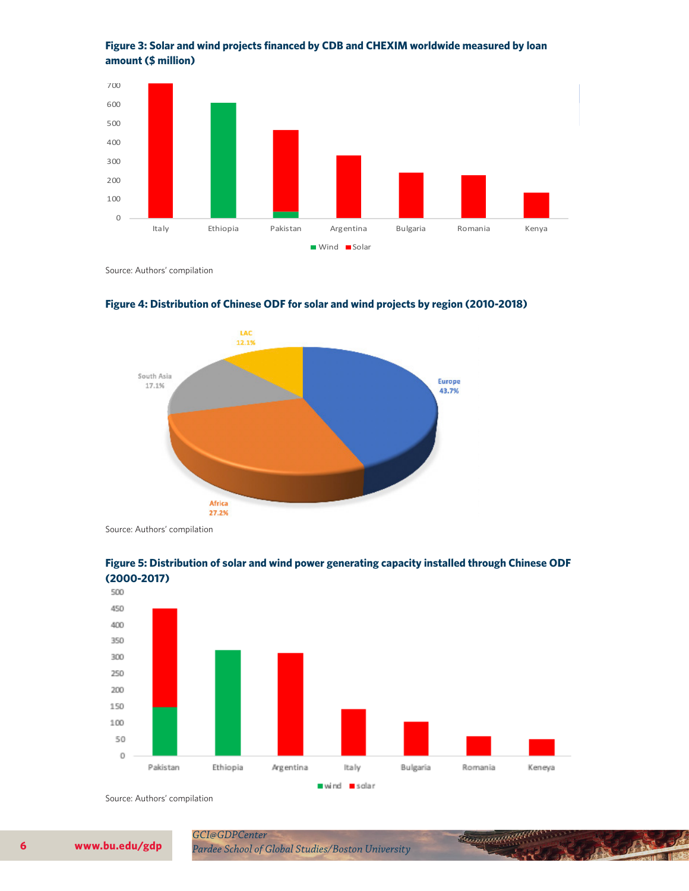

**Figure 3: Solar and wind projects financed by CDB and CHEXIM worldwide measured by loan amount (\$ million)** 800

Source: Authors' compilation





Source: Authors' compilation



# **Figure 5: Distribution of solar and wind power generating capacity installed through Chinese ODF (2000-2017)**

Source: Authors' compilation

*Pardee School of Global Studies/Boston University*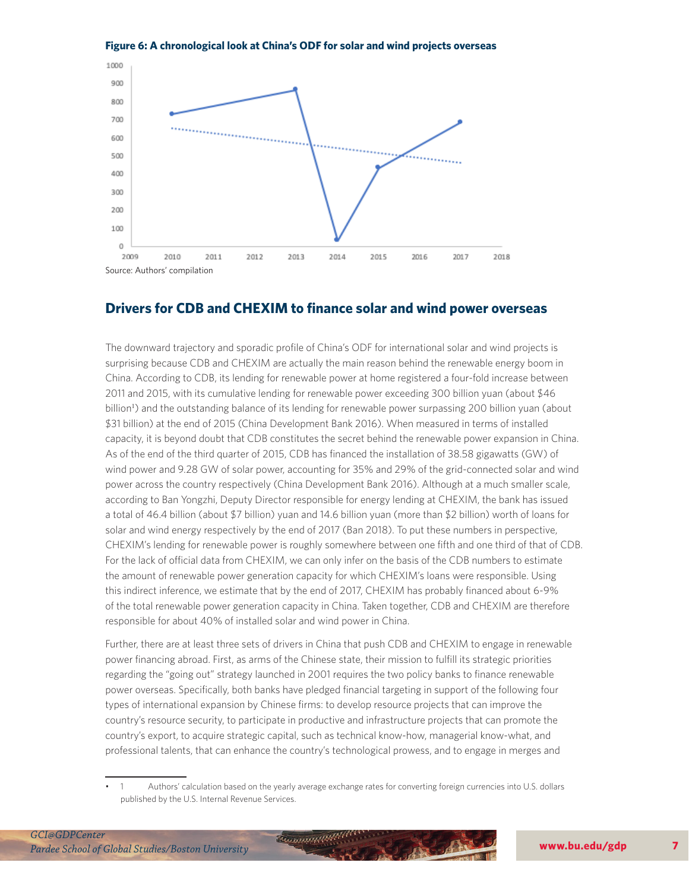

**Figure 6: A chronological look at China's ODF for solar and wind projects overseas** 

# **Drivers for CDB and CHEXIM to finance solar and wind power overseas**

The downward trajectory and sporadic profile of China's ODF for international solar and wind projects is surprising because CDB and CHEXIM are actually the main reason behind the renewable energy boom in China. According to CDB, its lending for renewable power at home registered a four-fold increase between 2011 and 2015, with its cumulative lending for renewable power exceeding 300 billion yuan (about \$46 billion<sup>1</sup>) and the outstanding balance of its lending for renewable power surpassing 200 billion yuan (about \$31 billion) at the end of 2015 (China Development Bank 2016). When measured in terms of installed capacity, it is beyond doubt that CDB constitutes the secret behind the renewable power expansion in China. As of the end of the third quarter of 2015, CDB has financed the installation of 38.58 gigawatts (GW) of wind power and 9.28 GW of solar power, accounting for 35% and 29% of the grid-connected solar and wind power across the country respectively (China Development Bank 2016). Although at a much smaller scale, according to Ban Yongzhi, Deputy Director responsible for energy lending at CHEXIM, the bank has issued a total of 46.4 billion (about \$7 billion) yuan and 14.6 billion yuan (more than \$2 billion) worth of loans for solar and wind energy respectively by the end of 2017 (Ban 2018). To put these numbers in perspective, CHEXIM's lending for renewable power is roughly somewhere between one fifth and one third of that of CDB. For the lack of official data from CHEXIM, we can only infer on the basis of the CDB numbers to estimate the amount of renewable power generation capacity for which CHEXIM's loans were responsible. Using this indirect inference, we estimate that by the end of 2017, CHEXIM has probably financed about 6-9% of the total renewable power generation capacity in China. Taken together, CDB and CHEXIM are therefore responsible for about 40% of installed solar and wind power in China.

Further, there are at least three sets of drivers in China that push CDB and CHEXIM to engage in renewable power financing abroad. First, as arms of the Chinese state, their mission to fulfill its strategic priorities regarding the "going out" strategy launched in 2001 requires the two policy banks to finance renewable power overseas. Specifically, both banks have pledged financial targeting in support of the following four types of international expansion by Chinese firms: to develop resource projects that can improve the country's resource security, to participate in productive and infrastructure projects that can promote the country's export, to acquire strategic capital, such as technical know-how, managerial know-what, and professional talents, that can enhance the country's technological prowess, and to engage in merges and

Recommendable

<sup>1</sup> Authors' calculation based on the yearly average exchange rates for converting foreign currencies into U.S. dollars published by the U.S. Internal Revenue Services.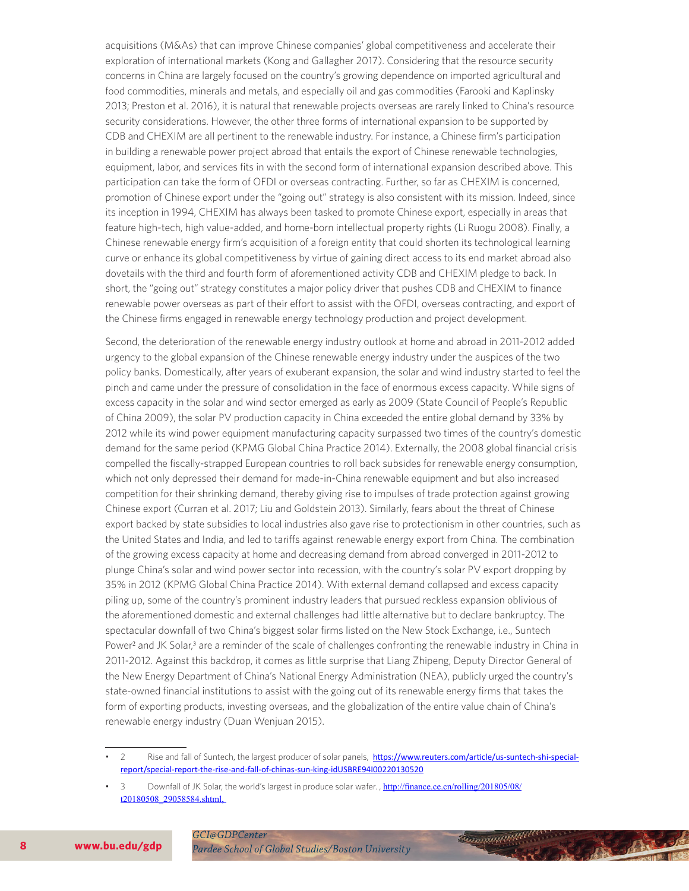acquisitions (M&As) that can improve Chinese companies' global competitiveness and accelerate their exploration of international markets (Kong and Gallagher 2017). Considering that the resource security concerns in China are largely focused on the country's growing dependence on imported agricultural and food commodities, minerals and metals, and especially oil and gas commodities (Farooki and Kaplinsky 2013; Preston et al. 2016), it is natural that renewable projects overseas are rarely linked to China's resource security considerations. However, the other three forms of international expansion to be supported by CDB and CHEXIM are all pertinent to the renewable industry. For instance, a Chinese firm's participation in building a renewable power project abroad that entails the export of Chinese renewable technologies, equipment, labor, and services fits in with the second form of international expansion described above. This participation can take the form of OFDI or overseas contracting. Further, so far as CHEXIM is concerned, promotion of Chinese export under the "going out" strategy is also consistent with its mission. Indeed, since its inception in 1994, CHEXIM has always been tasked to promote Chinese export, especially in areas that feature high-tech, high value-added, and home-born intellectual property rights (Li Ruogu 2008). Finally, a Chinese renewable energy firm's acquisition of a foreign entity that could shorten its technological learning curve or enhance its global competitiveness by virtue of gaining direct access to its end market abroad also dovetails with the third and fourth form of aforementioned activity CDB and CHEXIM pledge to back. In short, the "going out" strategy constitutes a major policy driver that pushes CDB and CHEXIM to finance renewable power overseas as part of their effort to assist with the OFDI, overseas contracting, and export of the Chinese firms engaged in renewable energy technology production and project development.

Second, the deterioration of the renewable energy industry outlook at home and abroad in 2011-2012 added urgency to the global expansion of the Chinese renewable energy industry under the auspices of the two policy banks. Domestically, after years of exuberant expansion, the solar and wind industry started to feel the pinch and came under the pressure of consolidation in the face of enormous excess capacity. While signs of excess capacity in the solar and wind sector emerged as early as 2009 (State Council of People's Republic of China 2009), the solar PV production capacity in China exceeded the entire global demand by 33% by 2012 while its wind power equipment manufacturing capacity surpassed two times of the country's domestic demand for the same period (KPMG Global China Practice 2014). Externally, the 2008 global financial crisis compelled the fiscally-strapped European countries to roll back subsides for renewable energy consumption, which not only depressed their demand for made-in-China renewable equipment and but also increased competition for their shrinking demand, thereby giving rise to impulses of trade protection against growing Chinese export (Curran et al. 2017; Liu and Goldstein 2013). Similarly, fears about the threat of Chinese export backed by state subsidies to local industries also gave rise to protectionism in other countries, such as the United States and India, and led to tariffs against renewable energy export from China. The combination of the growing excess capacity at home and decreasing demand from abroad converged in 2011-2012 to plunge China's solar and wind power sector into recession, with the country's solar PV export dropping by 35% in 2012 (KPMG Global China Practice 2014). With external demand collapsed and excess capacity piling up, some of the country's prominent industry leaders that pursued reckless expansion oblivious of the aforementioned domestic and external challenges had little alternative but to declare bankruptcy. The spectacular downfall of two China's biggest solar firms listed on the New Stock Exchange, i.e., Suntech Power<sup>2</sup> and JK Solar,<sup>3</sup> are a reminder of the scale of challenges confronting the renewable industry in China in 2011-2012. Against this backdrop, it comes as little surprise that Liang Zhipeng, Deputy Director General of the New Energy Department of China's National Energy Administration (NEA), publicly urged the country's state-owned financial institutions to assist with the going out of its renewable energy firms that takes the form of exporting products, investing overseas, and the globalization of the entire value chain of China's renewable energy industry (Duan Wenjuan 2015).

Recommendation

AN

<sup>2</sup> Rise and fall of Suntech, the largest producer of solar panels, https://www.reuters.com/article/us-suntech-shi-specialreport/special-report-the-rise-and-fall-of-chinas-sun-king-idUSBRE94I00220130520

<sup>3</sup> Downfall of JK Solar, the world's largest in produce solar wafer., http://finance.ce.cn/rolling/201805/08/ t20180508\_29058584.shtml,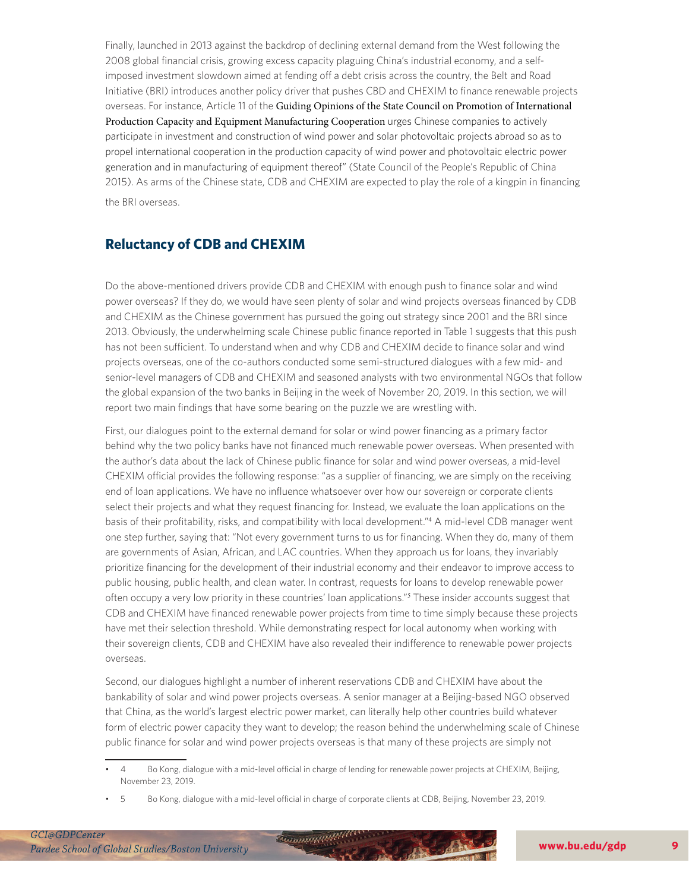Finally, launched in 2013 against the backdrop of declining external demand from the West following the 2008 global financial crisis, growing excess capacity plaguing China's industrial economy, and a selfimposed investment slowdown aimed at fending off a debt crisis across the country, the Belt and Road Initiative (BRI) introduces another policy driver that pushes CBD and CHEXIM to finance renewable projects overseas. For instance, Article 11 of the Guiding Opinions of the State Council on Promotion of International Production Capacity and Equipment Manufacturing Cooperation urges Chinese companies to actively participate in investment and construction of wind power and solar photovoltaic projects abroad so as to propel international cooperation in the production capacity of wind power and photovoltaic electric power generation and in manufacturing of equipment thereof" (State Council of the People's Republic of China 2015). As arms of the Chinese state, CDB and CHEXIM are expected to play the role of a kingpin in financing the BRI overseas.

# **Reluctancy of CDB and CHEXIM**

Do the above-mentioned drivers provide CDB and CHEXIM with enough push to finance solar and wind power overseas? If they do, we would have seen plenty of solar and wind projects overseas financed by CDB and CHEXIM as the Chinese government has pursued the going out strategy since 2001 and the BRI since 2013. Obviously, the underwhelming scale Chinese public finance reported in Table 1 suggests that this push has not been sufficient. To understand when and why CDB and CHEXIM decide to finance solar and wind projects overseas, one of the co-authors conducted some semi-structured dialogues with a few mid- and senior-level managers of CDB and CHEXIM and seasoned analysts with two environmental NGOs that follow the global expansion of the two banks in Beijing in the week of November 20, 2019. In this section, we will report two main findings that have some bearing on the puzzle we are wrestling with.

First, our dialogues point to the external demand for solar or wind power financing as a primary factor behind why the two policy banks have not financed much renewable power overseas. When presented with the author's data about the lack of Chinese public finance for solar and wind power overseas, a mid-level CHEXIM official provides the following response: "as a supplier of financing, we are simply on the receiving end of loan applications. We have no influence whatsoever over how our sovereign or corporate clients select their projects and what they request financing for. Instead, we evaluate the loan applications on the basis of their profitability, risks, and compatibility with local development."<sup>4</sup> A mid-level CDB manager went one step further, saying that: "Not every government turns to us for financing. When they do, many of them are governments of Asian, African, and LAC countries. When they approach us for loans, they invariably prioritize financing for the development of their industrial economy and their endeavor to improve access to public housing, public health, and clean water. In contrast, requests for loans to develop renewable power often occupy a very low priority in these countries' loan applications."<sup>5</sup> These insider accounts suggest that CDB and CHEXIM have financed renewable power projects from time to time simply because these projects have met their selection threshold. While demonstrating respect for local autonomy when working with their sovereign clients, CDB and CHEXIM have also revealed their indifference to renewable power projects overseas.

Second, our dialogues highlight a number of inherent reservations CDB and CHEXIM have about the bankability of solar and wind power projects overseas. A senior manager at a Beijing-based NGO observed that China, as the world's largest electric power market, can literally help other countries build whatever form of electric power capacity they want to develop; the reason behind the underwhelming scale of Chinese public finance for solar and wind power projects overseas is that many of these projects are simply not

Recommendation

The Ab

<sup>•</sup> 4 Bo Kong, dialogue with a mid-level official in charge of lending for renewable power projects at CHEXIM, Beijing, November 23, 2019.

<sup>•</sup> 5 Bo Kong, dialogue with a mid-level official in charge of corporate clients at CDB, Beijing, November 23, 2019.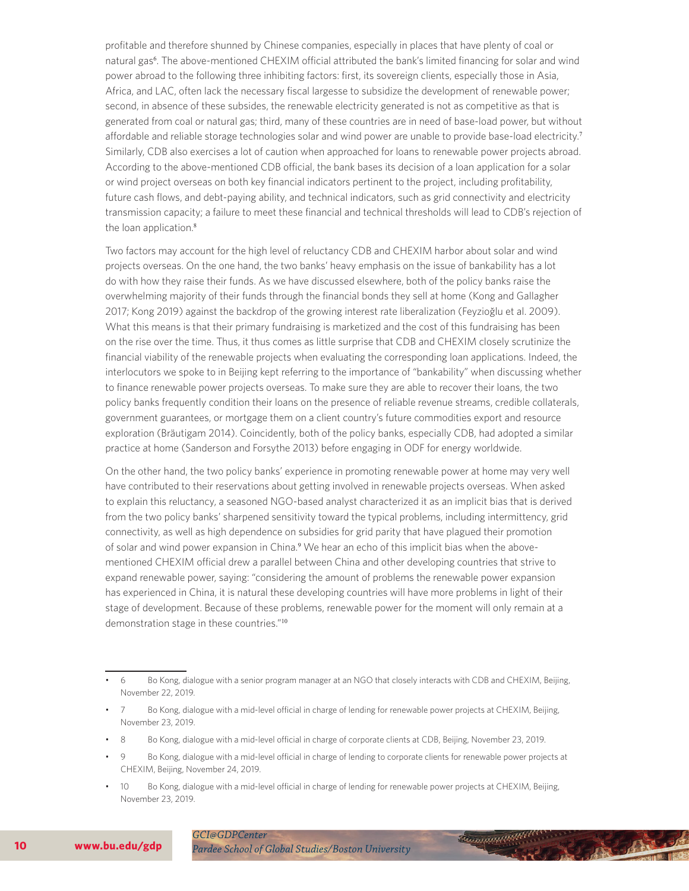profitable and therefore shunned by Chinese companies, especially in places that have plenty of coal or natural gas<sup>6</sup>. The above-mentioned CHEXIM official attributed the bank's limited financing for solar and wind power abroad to the following three inhibiting factors: first, its sovereign clients, especially those in Asia, Africa, and LAC, often lack the necessary fiscal largesse to subsidize the development of renewable power; second, in absence of these subsides, the renewable electricity generated is not as competitive as that is generated from coal or natural gas; third, many of these countries are in need of base-load power, but without affordable and reliable storage technologies solar and wind power are unable to provide base-load electricity.<sup>7</sup> Similarly, CDB also exercises a lot of caution when approached for loans to renewable power projects abroad. According to the above-mentioned CDB official, the bank bases its decision of a loan application for a solar or wind project overseas on both key financial indicators pertinent to the project, including profitability, future cash flows, and debt-paying ability, and technical indicators, such as grid connectivity and electricity transmission capacity; a failure to meet these financial and technical thresholds will lead to CDB's rejection of the loan application.<sup>8</sup>

Two factors may account for the high level of reluctancy CDB and CHEXIM harbor about solar and wind projects overseas. On the one hand, the two banks' heavy emphasis on the issue of bankability has a lot do with how they raise their funds. As we have discussed elsewhere, both of the policy banks raise the overwhelming majority of their funds through the financial bonds they sell at home (Kong and Gallagher 2017; Kong 2019) against the backdrop of the growing interest rate liberalization (Feyzioğlu et al. 2009). What this means is that their primary fundraising is marketized and the cost of this fundraising has been on the rise over the time. Thus, it thus comes as little surprise that CDB and CHEXIM closely scrutinize the financial viability of the renewable projects when evaluating the corresponding loan applications. Indeed, the interlocutors we spoke to in Beijing kept referring to the importance of "bankability" when discussing whether to finance renewable power projects overseas. To make sure they are able to recover their loans, the two policy banks frequently condition their loans on the presence of reliable revenue streams, credible collaterals, government guarantees, or mortgage them on a client country's future commodities export and resource exploration (Bräutigam 2014). Coincidently, both of the policy banks, especially CDB, had adopted a similar practice at home (Sanderson and Forsythe 2013) before engaging in ODF for energy worldwide.

On the other hand, the two policy banks' experience in promoting renewable power at home may very well have contributed to their reservations about getting involved in renewable projects overseas. When asked to explain this reluctancy, a seasoned NGO-based analyst characterized it as an implicit bias that is derived from the two policy banks' sharpened sensitivity toward the typical problems, including intermittency, grid connectivity, as well as high dependence on subsidies for grid parity that have plagued their promotion of solar and wind power expansion in China.<sup>9</sup> We hear an echo of this implicit bias when the abovementioned CHEXIM official drew a parallel between China and other developing countries that strive to expand renewable power, saying: "considering the amount of problems the renewable power expansion has experienced in China, it is natural these developing countries will have more problems in light of their stage of development. Because of these problems, renewable power for the moment will only remain at a demonstration stage in these countries."<sup>10</sup>

<sup>•</sup> 6 Bo Kong, dialogue with a senior program manager at an NGO that closely interacts with CDB and CHEXIM, Beijing, November 22, 2019.

<sup>•</sup> 7 Bo Kong, dialogue with a mid-level official in charge of lending for renewable power projects at CHEXIM, Beijing, November 23, 2019.

<sup>•</sup> 8 Bo Kong, dialogue with a mid-level official in charge of corporate clients at CDB, Beijing, November 23, 2019.

<sup>•</sup> 9 Bo Kong, dialogue with a mid-level official in charge of lending to corporate clients for renewable power projects at CHEXIM, Beijing, November 24, 2019.

<sup>•</sup> 10 Bo Kong, dialogue with a mid-level official in charge of lending for renewable power projects at CHEXIM, Beijing, November 23, 2019.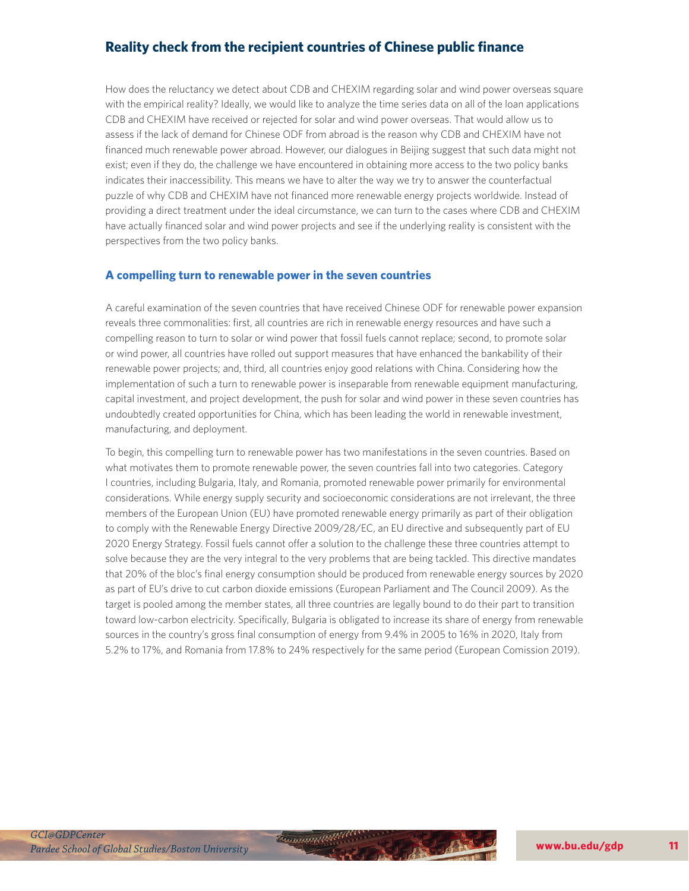# **Reality check from the recipient countries of Chinese public finance**

How does the reluctancy we detect about CDB and CHEXIM regarding solar and wind power overseas square with the empirical reality? Ideally, we would like to analyze the time series data on all of the loan applications CDB and CHEXIM have received or rejected for solar and wind power overseas. That would allow us to assess if the lack of demand for Chinese ODF from abroad is the reason why CDB and CHEXIM have not financed much renewable power abroad. However, our dialogues in Beijing suggest that such data might not exist; even if they do, the challenge we have encountered in obtaining more access to the two policy banks indicates their inaccessibility. This means we have to alter the way we try to answer the counterfactual puzzle of why CDB and CHEXIM have not financed more renewable energy projects worldwide. Instead of providing a direct treatment under the ideal circumstance, we can turn to the cases where CDB and CHEXIM have actually financed solar and wind power projects and see if the underlying reality is consistent with the perspectives from the two policy banks.

## **A compelling turn to renewable power in the seven countries**

A careful examination of the seven countries that have received Chinese ODF for renewable power expansion reveals three commonalities: first, all countries are rich in renewable energy resources and have such a compelling reason to turn to solar or wind power that fossil fuels cannot replace; second, to promote solar or wind power, all countries have rolled out support measures that have enhanced the bankability of their renewable power projects; and, third, all countries enjoy good relations with China. Considering how the implementation of such a turn to renewable power is inseparable from renewable equipment manufacturing, capital investment, and project development, the push for solar and wind power in these seven countries has undoubtedly created opportunities for China, which has been leading the world in renewable investment, manufacturing, and deployment.

To begin, this compelling turn to renewable power has two manifestations in the seven countries. Based on what motivates them to promote renewable power, the seven countries fall into two categories. Category I countries, including Bulgaria, Italy, and Romania, promoted renewable power primarily for environmental considerations. While energy supply security and socioeconomic considerations are not irrelevant, the three members of the European Union (EU) have promoted renewable energy primarily as part of their obligation to comply with the Renewable Energy Directive 2009/28/EC, an EU directive and subsequently part of EU 2020 Energy Strategy. Fossil fuels cannot offer a solution to the challenge these three countries attempt to solve because they are the very integral to the very problems that are being tackled. This directive mandates that 20% of the bloc's final energy consumption should be produced from renewable energy sources by 2020 as part of EU's drive to cut carbon dioxide emissions (European Parliament and The Council 2009). As the target is pooled among the member states, all three countries are legally bound to do their part to transition toward low-carbon electricity. Specifically, Bulgaria is obligated to increase its share of energy from renewable sources in the country's gross final consumption of energy from 9.4% in 2005 to 16% in 2020, Italy from 5.2% to 17%, and Romania from 17.8% to 24% respectively for the same period (European Comission 2019).

Recommendable

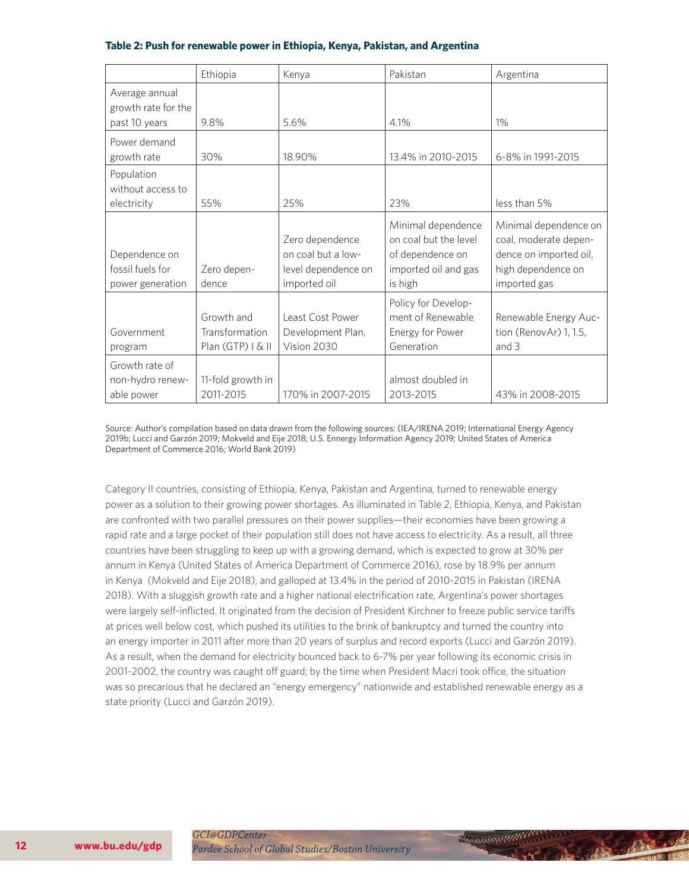#### **Table 2: Push for renewable power in Ethiopia, Kenya, Pakistan, and Argentina**

|                                                       | Ethiopia                                          | Kenya                                                                        | Pakistan                                                                                           | Argentina                                                                                                      |
|-------------------------------------------------------|---------------------------------------------------|------------------------------------------------------------------------------|----------------------------------------------------------------------------------------------------|----------------------------------------------------------------------------------------------------------------|
| Average annual<br>growth rate for the                 |                                                   |                                                                              |                                                                                                    |                                                                                                                |
| past 10 years                                         | 9.8%                                              | 5.6%                                                                         | 4.1%                                                                                               | 1%                                                                                                             |
| Power demand                                          |                                                   |                                                                              |                                                                                                    |                                                                                                                |
| growth rate                                           | 30%                                               | 18.90%                                                                       | 13.4% in 2010-2015                                                                                 | 6-8% in 1991-2015                                                                                              |
| Population<br>without access to                       |                                                   |                                                                              |                                                                                                    |                                                                                                                |
| electricity                                           | 55%                                               | 25%                                                                          | 23%                                                                                                | less than 5%                                                                                                   |
| Dependence on<br>fossil fuels for<br>power generation | Zero depen-<br>dence                              | Zero dependence<br>on coal but a low-<br>level dependence on<br>imported oil | Minimal dependence<br>on coal but the level<br>of dependence on<br>imported oil and gas<br>is high | Minimal dependence on<br>coal, moderate depen-<br>dence on imported oil,<br>high dependence on<br>imported gas |
| Government<br>program                                 | Growth and<br>Transformation<br>Plan (GTP)   & II | Least Cost Power<br>Development Plan,<br>Vision 2030                         | Policy for Develop-<br>ment of Renewable<br>Energy for Power<br>Generation                         | Renewable Energy Auc-<br>tion (RenovAr) 1, 1.5,<br>and $3$                                                     |
| Growth rate of<br>non-hydro renew-<br>able power      | 11-fold growth in<br>2011-2015                    | 170% in 2007-2015                                                            | almost doubled in<br>2013-2015                                                                     | 43% in 2008-2015                                                                                               |

Source: Author's compilation based on data drawn from the following sources: (IEA/IRENA 2019; International Energy Agency 2019b; Lucci and Garzón 2019; Mokveld and Eije 2018; U.S. Ennergy Information Agency 2019; United States of America Department of Commerce 2016; World Bank 2019)

Category II countries, consisting of Ethiopia, Kenya, Pakistan and Argentina, turned to renewable energy power as a solution to their growing power shortages. As illuminated in Table 2, Ethiopia, Kenya, and Pakistan are confronted with two parallel pressures on their power supplies—their economies have been growing a rapid rate and a large pocket of their population still does not have access to electricity. As a result, all three countries have been struggling to keep up with a growing demand, which is expected to grow at 30% per annum in Kenya (United States of America Department of Commerce 2016), rose by 18.9% per annum in Kenya (Mokveld and Eije 2018), and galloped at 13.4% in the period of 2010-2015 in Pakistan (IRENA 2018). With a sluggish growth rate and a higher national electrification rate, Argentina's power shortages were largely self-inflicted. It originated from the decision of President Kirchner to freeze public service tariffs at prices well below cost, which pushed its utilities to the brink of bankruptcy and turned the country into an energy importer in 2011 after more than 20 years of surplus and record exports (Lucci and Garzón 2019). As a result, when the demand for electricity bounced back to 6-7% per year following its economic crisis in 2001-2002, the country was caught off guard; by the time when President Macri took office, the situation was so precarious that he declared an "energy emergency" nationwide and established renewable energy as a state priority (Lucci and Garzón 2019).

Recommendable

AL AM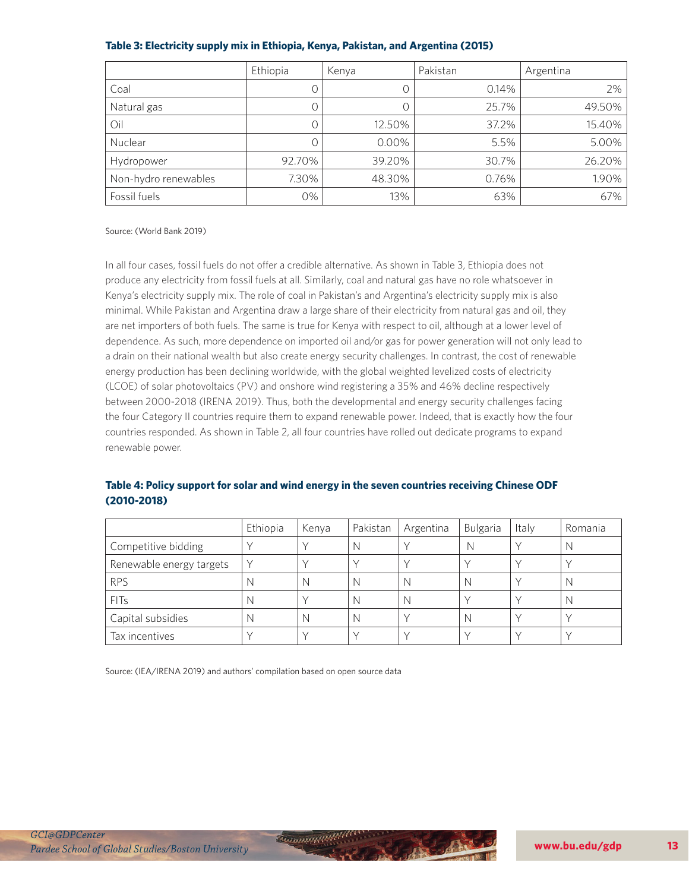|                      | Ethiopia | Kenya  | Pakistan | Argentina |
|----------------------|----------|--------|----------|-----------|
| Coal                 | 0        |        | 0.14%    | 2%        |
| Natural gas          | 0        |        | 25.7%    | 49.50%    |
| Oil                  | 0        | 12.50% | 37.2%    | 15.40%    |
| Nuclear              | 0        | 0.00%  | 5.5%     | 5.00%     |
| Hydropower           | 92.70%   | 39.20% | 30.7%    | 26.20%    |
| Non-hydro renewables | 7.30%    | 48.30% | 0.76%    | 1.90%     |
| Fossil fuels         | $0\%$    | 13%    | 63%      | 67%       |

## **Table 3: Electricity supply mix in Ethiopia, Kenya, Pakistan, and Argentina (2015)**

Source: (World Bank 2019)

In all four cases, fossil fuels do not offer a credible alternative. As shown in Table 3, Ethiopia does not produce any electricity from fossil fuels at all. Similarly, coal and natural gas have no role whatsoever in Kenya's electricity supply mix. The role of coal in Pakistan's and Argentina's electricity supply mix is also minimal. While Pakistan and Argentina draw a large share of their electricity from natural gas and oil, they are net importers of both fuels. The same is true for Kenya with respect to oil, although at a lower level of dependence. As such, more dependence on imported oil and/or gas for power generation will not only lead to a drain on their national wealth but also create energy security challenges. In contrast, the cost of renewable energy production has been declining worldwide, with the global weighted levelized costs of electricity (LCOE) of solar photovoltaics (PV) and onshore wind registering a 35% and 46% decline respectively between 2000-2018 (IRENA 2019). Thus, both the developmental and energy security challenges facing the four Category II countries require them to expand renewable power. Indeed, that is exactly how the four countries responded. As shown in Table 2, all four countries have rolled out dedicate programs to expand renewable power.

# **Table 4: Policy support for solar and wind energy in the seven countries receiving Chinese ODF (2010-2018)**

Bennamilli Will

|                          | Ethiopia | Kenya | Pakistan | Argentina | Bulgaria | Italy | Romania |
|--------------------------|----------|-------|----------|-----------|----------|-------|---------|
| Competitive bidding      |          |       | N        |           |          |       |         |
| Renewable energy targets |          |       |          |           |          |       |         |
| <b>RPS</b>               |          |       | N        |           | N        |       |         |
| <b>FITs</b>              |          |       | N        |           |          |       |         |
| Capital subsidies        |          |       | N        |           | N        |       |         |
| Tax incentives           |          |       |          |           |          |       |         |

Source: (IEA/IRENA 2019) and authors' compilation based on open source data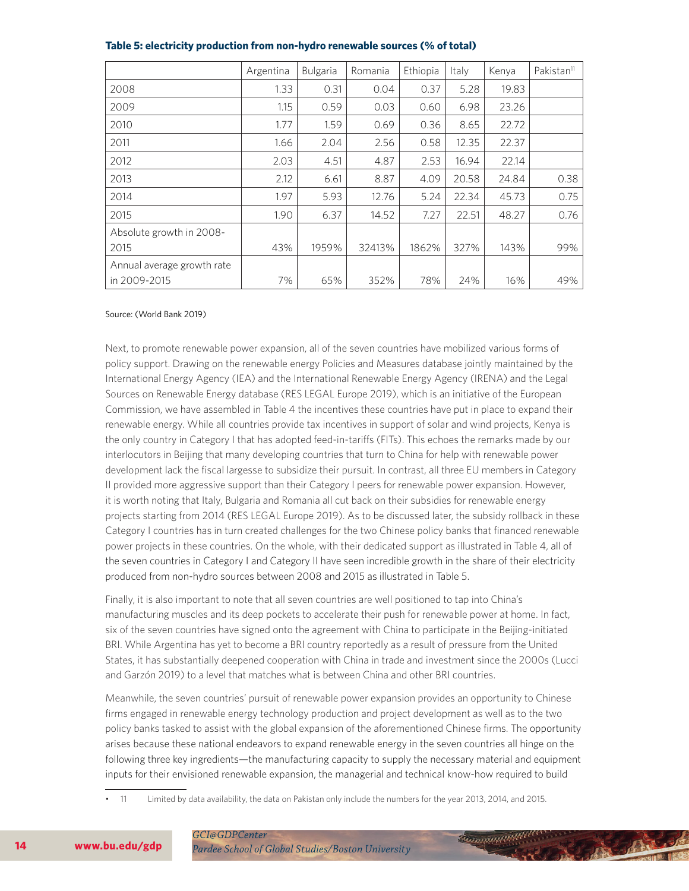|                                            | Argentina | Bulgaria | Romania | Ethiopia | Italy | Kenya | Pakistan <sup>11</sup> |
|--------------------------------------------|-----------|----------|---------|----------|-------|-------|------------------------|
| 2008                                       | 1.33      | 0.31     | 0.04    | 0.37     | 5.28  | 19.83 |                        |
| 2009                                       | 1.15      | 0.59     | 0.03    | 0.60     | 6.98  | 23.26 |                        |
| 2010                                       | 1.77      | 1.59     | 0.69    | 0.36     | 8.65  | 22.72 |                        |
| 2011                                       | 1.66      | 2.04     | 2.56    | 0.58     | 12.35 | 22.37 |                        |
| 2012                                       | 2.03      | 4.51     | 4.87    | 2.53     | 16.94 | 22.14 |                        |
| 2013                                       | 2.12      | 6.61     | 8.87    | 4.09     | 20.58 | 24.84 | 0.38                   |
| 2014                                       | 1.97      | 5.93     | 12.76   | 5.24     | 22.34 | 45.73 | 0.75                   |
| 2015                                       | 1.90      | 6.37     | 14.52   | 7.27     | 22.51 | 48.27 | 0.76                   |
| Absolute growth in 2008-<br>2015           | 43%       | 1959%    | 32413%  | 1862%    | 327%  | 143%  | 99%                    |
| Annual average growth rate<br>in 2009-2015 | 7%        | 65%      | 352%    | 78%      | 24%   | 16%   | 49%                    |

#### **Table 5: electricity production from non-hydro renewable sources (% of total)**

#### Source: (World Bank 2019)

Next, to promote renewable power expansion, all of the seven countries have mobilized various forms of policy support. Drawing on the renewable energy Policies and Measures database jointly maintained by the International Energy Agency (IEA) and the International Renewable Energy Agency (IRENA) and the Legal Sources on Renewable Energy database (RES LEGAL Europe 2019), which is an initiative of the European Commission, we have assembled in Table 4 the incentives these countries have put in place to expand their renewable energy. While all countries provide tax incentives in support of solar and wind projects, Kenya is the only country in Category I that has adopted feed-in-tariffs (FITs). This echoes the remarks made by our interlocutors in Beijing that many developing countries that turn to China for help with renewable power development lack the fiscal largesse to subsidize their pursuit. In contrast, all three EU members in Category II provided more aggressive support than their Category I peers for renewable power expansion. However, it is worth noting that Italy, Bulgaria and Romania all cut back on their subsidies for renewable energy projects starting from 2014 (RES LEGAL Europe 2019). As to be discussed later, the subsidy rollback in these Category I countries has in turn created challenges for the two Chinese policy banks that financed renewable power projects in these countries. On the whole, with their dedicated support as illustrated in Table 4, all of the seven countries in Category I and Category II have seen incredible growth in the share of their electricity produced from non-hydro sources between 2008 and 2015 as illustrated in Table 5.

Finally, it is also important to note that all seven countries are well positioned to tap into China's manufacturing muscles and its deep pockets to accelerate their push for renewable power at home. In fact, six of the seven countries have signed onto the agreement with China to participate in the Beijing-initiated BRI. While Argentina has yet to become a BRI country reportedly as a result of pressure from the United States, it has substantially deepened cooperation with China in trade and investment since the 2000s (Lucci and Garzón 2019) to a level that matches what is between China and other BRI countries.

Meanwhile, the seven countries' pursuit of renewable power expansion provides an opportunity to Chinese firms engaged in renewable energy technology production and project development as well as to the two policy banks tasked to assist with the global expansion of the aforementioned Chinese firms. The opportunity arises because these national endeavors to expand renewable energy in the seven countries all hinge on the following three key ingredients—the manufacturing capacity to supply the necessary material and equipment inputs for their envisioned renewable expansion, the managerial and technical know-how required to build

Recommendation

<sup>•</sup> 11 Limited by data availability, the data on Pakistan only include the numbers for the year 2013, 2014, and 2015.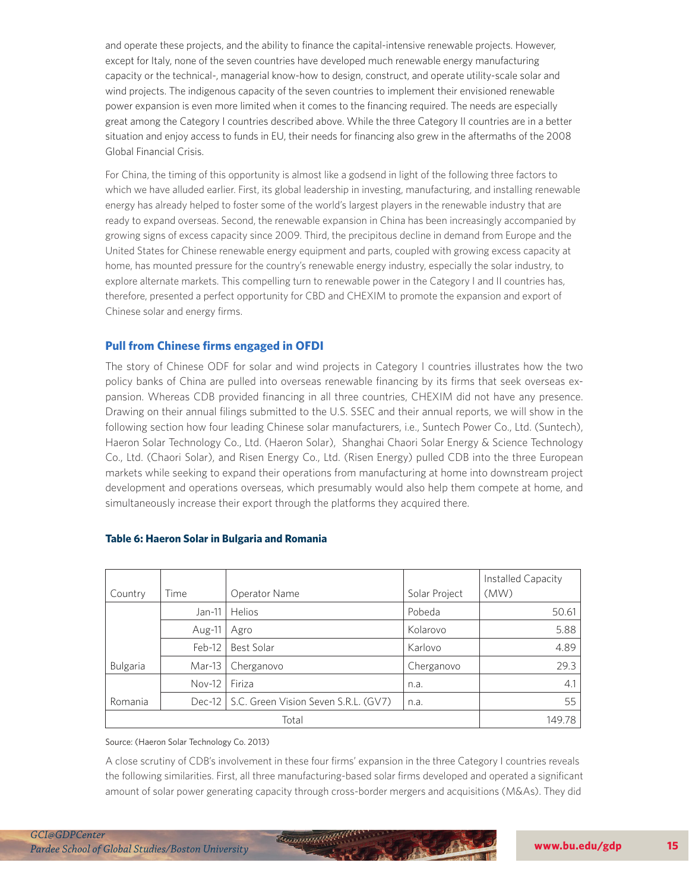and operate these projects, and the ability to finance the capital-intensive renewable projects. However, except for Italy, none of the seven countries have developed much renewable energy manufacturing capacity or the technical-, managerial know-how to design, construct, and operate utility-scale solar and wind projects. The indigenous capacity of the seven countries to implement their envisioned renewable power expansion is even more limited when it comes to the financing required. The needs are especially great among the Category I countries described above. While the three Category II countries are in a better situation and enjoy access to funds in EU, their needs for financing also grew in the aftermaths of the 2008 Global Financial Crisis.

For China, the timing of this opportunity is almost like a godsend in light of the following three factors to which we have alluded earlier. First, its global leadership in investing, manufacturing, and installing renewable energy has already helped to foster some of the world's largest players in the renewable industry that are ready to expand overseas. Second, the renewable expansion in China has been increasingly accompanied by growing signs of excess capacity since 2009. Third, the precipitous decline in demand from Europe and the United States for Chinese renewable energy equipment and parts, coupled with growing excess capacity at home, has mounted pressure for the country's renewable energy industry, especially the solar industry, to explore alternate markets. This compelling turn to renewable power in the Category I and II countries has, therefore, presented a perfect opportunity for CBD and CHEXIM to promote the expansion and export of Chinese solar and energy firms.

# **Pull from Chinese firms engaged in OFDI**

The story of Chinese ODF for solar and wind projects in Category I countries illustrates how the two policy banks of China are pulled into overseas renewable financing by its firms that seek overseas expansion. Whereas CDB provided financing in all three countries, CHEXIM did not have any presence. Drawing on their annual filings submitted to the U.S. SSEC and their annual reports, we will show in the following section how four leading Chinese solar manufacturers, i.e., Suntech Power Co., Ltd. (Suntech), Haeron Solar Technology Co., Ltd. (Haeron Solar), Shanghai Chaori Solar Energy & Science Technology Co., Ltd. (Chaori Solar), and Risen Energy Co., Ltd. (Risen Energy) pulled CDB into the three European markets while seeking to expand their operations from manufacturing at home into downstream project development and operations overseas, which presumably would also help them compete at home, and simultaneously increase their export through the platforms they acquired there.

| Country  | Time     | Operator Name                        | Solar Project | Installed Capacity<br>(MW) |
|----------|----------|--------------------------------------|---------------|----------------------------|
|          | $Jan-11$ | <b>Helios</b>                        | Pobeda        | 50.61                      |
|          | Aug-11   | Agro                                 | Kolarovo      | 5.88                       |
|          | Feb-12   | Best Solar                           | Karlovo       | 4.89                       |
| Bulgaria | Mar-13   | Cherganovo                           | Cherganovo    | 29.3                       |
|          | Nov-12   | Firiza                               | n.a.          | 4.1                        |
| Romania  | Dec-12   | S.C. Green Vision Seven S.R.L. (GV7) | n.a.          | 55                         |
|          | 149.78   |                                      |               |                            |

#### **Table 6: Haeron Solar in Bulgaria and Romania**

Source: (Haeron Solar Technology Co. 2013)

A close scrutiny of CDB's involvement in these four firms' expansion in the three Category I countries reveals the following similarities. First, all three manufacturing-based solar firms developed and operated a significant amount of solar power generating capacity through cross-border mergers and acquisitions (M&As). They did

Recommendation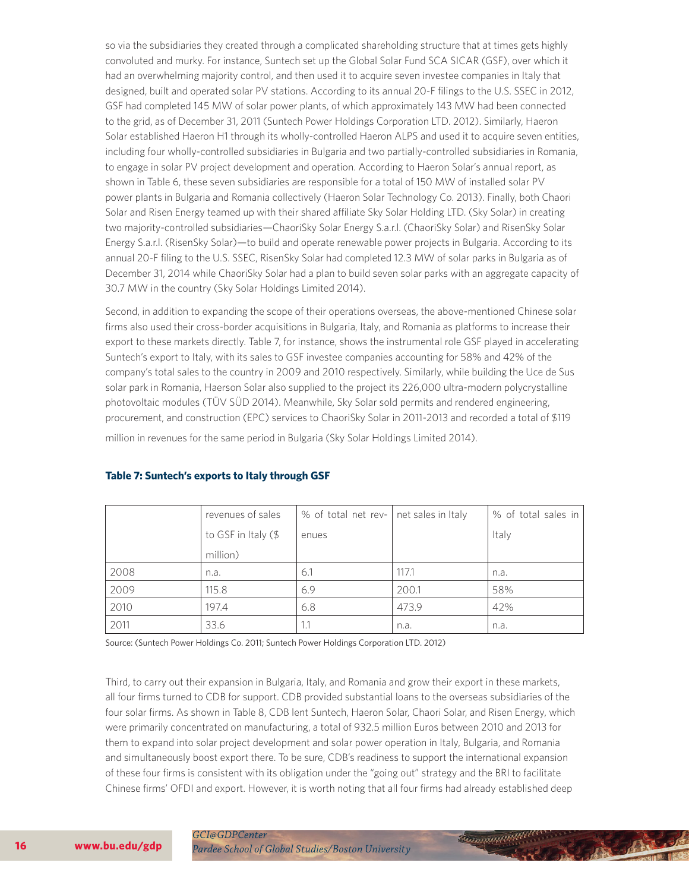so via the subsidiaries they created through a complicated shareholding structure that at times gets highly convoluted and murky. For instance, Suntech set up the Global Solar Fund SCA SICAR (GSF), over which it had an overwhelming majority control, and then used it to acquire seven investee companies in Italy that designed, built and operated solar PV stations. According to its annual 20-F filings to the U.S. SSEC in 2012, GSF had completed 145 MW of solar power plants, of which approximately 143 MW had been connected to the grid, as of December 31, 2011 (Suntech Power Holdings Corporation LTD. 2012). Similarly, Haeron Solar established Haeron H1 through its wholly-controlled Haeron ALPS and used it to acquire seven entities, including four wholly-controlled subsidiaries in Bulgaria and two partially-controlled subsidiaries in Romania, to engage in solar PV project development and operation. According to Haeron Solar's annual report, as shown in Table 6, these seven subsidiaries are responsible for a total of 150 MW of installed solar PV power plants in Bulgaria and Romania collectively (Haeron Solar Technology Co. 2013). Finally, both Chaori Solar and Risen Energy teamed up with their shared affiliate Sky Solar Holding LTD. (Sky Solar) in creating two majority-controlled subsidiaries—ChaoriSky Solar Energy S.a.r.l. (ChaoriSky Solar) and RisenSky Solar Energy S.a.r.l. (RisenSky Solar)—to build and operate renewable power projects in Bulgaria. According to its annual 20-F filing to the U.S. SSEC, RisenSky Solar had completed 12.3 MW of solar parks in Bulgaria as of December 31, 2014 while ChaoriSky Solar had a plan to build seven solar parks with an aggregate capacity of 30.7 MW in the country (Sky Solar Holdings Limited 2014).

Second, in addition to expanding the scope of their operations overseas, the above-mentioned Chinese solar firms also used their cross-border acquisitions in Bulgaria, Italy, and Romania as platforms to increase their export to these markets directly. Table 7, for instance, shows the instrumental role GSF played in accelerating Suntech's export to Italy, with its sales to GSF investee companies accounting for 58% and 42% of the company's total sales to the country in 2009 and 2010 respectively. Similarly, while building the Uce de Sus solar park in Romania, Haerson Solar also supplied to the project its 226,000 ultra-modern polycrystalline photovoltaic modules (TÜV SÜD 2014). Meanwhile, Sky Solar sold permits and rendered engineering, procurement, and construction (EPC) services to ChaoriSky Solar in 2011-2013 and recorded a total of \$119

million in revenues for the same period in Bulgaria (Sky Solar Holdings Limited 2014).

|      | revenues of sales   | % of total net rev-   net sales in Italy |       | % of total sales in |
|------|---------------------|------------------------------------------|-------|---------------------|
|      | to GSF in Italy (\$ | enues                                    |       | Italy               |
|      | million)            |                                          |       |                     |
| 2008 | n.a.                | 6.1                                      | 117.1 | n.a.                |
| 2009 | 115.8               | 6.9                                      | 200.1 | 58%                 |
| 2010 | 197.4               | 6.8                                      | 473.9 | 42%                 |
| 2011 | 33.6                | 1.1                                      | n.a.  | n.a.                |

## **Table 7: Suntech's exports to Italy through GSF**

Source: (Suntech Power Holdings Co. 2011; Suntech Power Holdings Corporation LTD. 2012)

Third, to carry out their expansion in Bulgaria, Italy, and Romania and grow their export in these markets, all four firms turned to CDB for support. CDB provided substantial loans to the overseas subsidiaries of the four solar firms. As shown in Table 8, CDB lent Suntech, Haeron Solar, Chaori Solar, and Risen Energy, which were primarily concentrated on manufacturing, a total of 932.5 million Euros between 2010 and 2013 for them to expand into solar project development and solar power operation in Italy, Bulgaria, and Romania and simultaneously boost export there. To be sure, CDB's readiness to support the international expansion of these four firms is consistent with its obligation under the "going out" strategy and the BRI to facilitate Chinese firms' OFDI and export. However, it is worth noting that all four firms had already established deep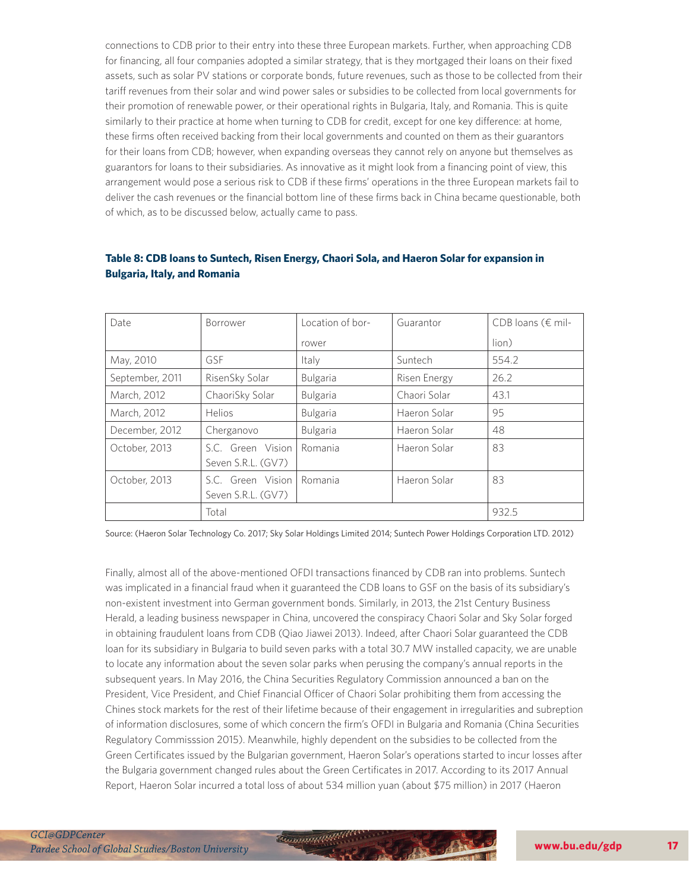connections to CDB prior to their entry into these three European markets. Further, when approaching CDB for financing, all four companies adopted a similar strategy, that is they mortgaged their loans on their fixed assets, such as solar PV stations or corporate bonds, future revenues, such as those to be collected from their tariff revenues from their solar and wind power sales or subsidies to be collected from local governments for their promotion of renewable power, or their operational rights in Bulgaria, Italy, and Romania. This is quite similarly to their practice at home when turning to CDB for credit, except for one key difference: at home, these firms often received backing from their local governments and counted on them as their guarantors for their loans from CDB; however, when expanding overseas they cannot rely on anyone but themselves as guarantors for loans to their subsidiaries. As innovative as it might look from a financing point of view, this arrangement would pose a serious risk to CDB if these firms' operations in the three European markets fail to deliver the cash revenues or the financial bottom line of these firms back in China became questionable, both of which, as to be discussed below, actually came to pass.

| Date            | Borrower                                | Location of bor- | Guarantor    | CDB loans $(\epsilon \text{ mil}$ - |
|-----------------|-----------------------------------------|------------------|--------------|-------------------------------------|
|                 |                                         | rower            |              | lion)                               |
| May, 2010       | <b>GSF</b>                              | Italy            | Suntech      | 554.2                               |
| September, 2011 | RisenSky Solar                          | Bulgaria         | Risen Energy | 26.2                                |
| March, 2012     | ChaoriSky Solar                         | Bulgaria         | Chaori Solar | 43.1                                |
| March, 2012     | <b>Helios</b>                           | Bulgaria         | Haeron Solar | 95                                  |
| December, 2012  | Cherganovo                              | Bulgaria         | Haeron Solar | 48                                  |
| October, 2013   | S.C. Green Vision<br>Seven S.R.L. (GV7) | Romania          | Haeron Solar | 83                                  |
| October, 2013   | S.C. Green Vision<br>Seven S.R.L. (GV7) | Romania          | Haeron Solar | 83                                  |
|                 | Total                                   |                  |              | 932.5                               |

# **Table 8: CDB loans to Suntech, Risen Energy, Chaori Sola, and Haeron Solar for expansion in Bulgaria, Italy, and Romania**

Source: (Haeron Solar Technology Co. 2017; Sky Solar Holdings Limited 2014; Suntech Power Holdings Corporation LTD. 2012)

Finally, almost all of the above-mentioned OFDI transactions financed by CDB ran into problems. Suntech was implicated in a financial fraud when it guaranteed the CDB loans to GSF on the basis of its subsidiary's non-existent investment into German government bonds. Similarly, in 2013, the 21st Century Business Herald, a leading business newspaper in China, uncovered the conspiracy Chaori Solar and Sky Solar forged in obtaining fraudulent loans from CDB (Qiao Jiawei 2013). Indeed, after Chaori Solar guaranteed the CDB loan for its subsidiary in Bulgaria to build seven parks with a total 30.7 MW installed capacity, we are unable to locate any information about the seven solar parks when perusing the company's annual reports in the subsequent years. In May 2016, the China Securities Regulatory Commission announced a ban on the President, Vice President, and Chief Financial Officer of Chaori Solar prohibiting them from accessing the Chines stock markets for the rest of their lifetime because of their engagement in irregularities and subreption of information disclosures, some of which concern the firm's OFDI in Bulgaria and Romania (China Securities Regulatory Commisssion 2015). Meanwhile, highly dependent on the subsidies to be collected from the Green Certificates issued by the Bulgarian government, Haeron Solar's operations started to incur losses after the Bulgaria government changed rules about the Green Certificates in 2017. According to its 2017 Annual Report, Haeron Solar incurred a total loss of about 534 million yuan (about \$75 million) in 2017 (Haeron

Recommendation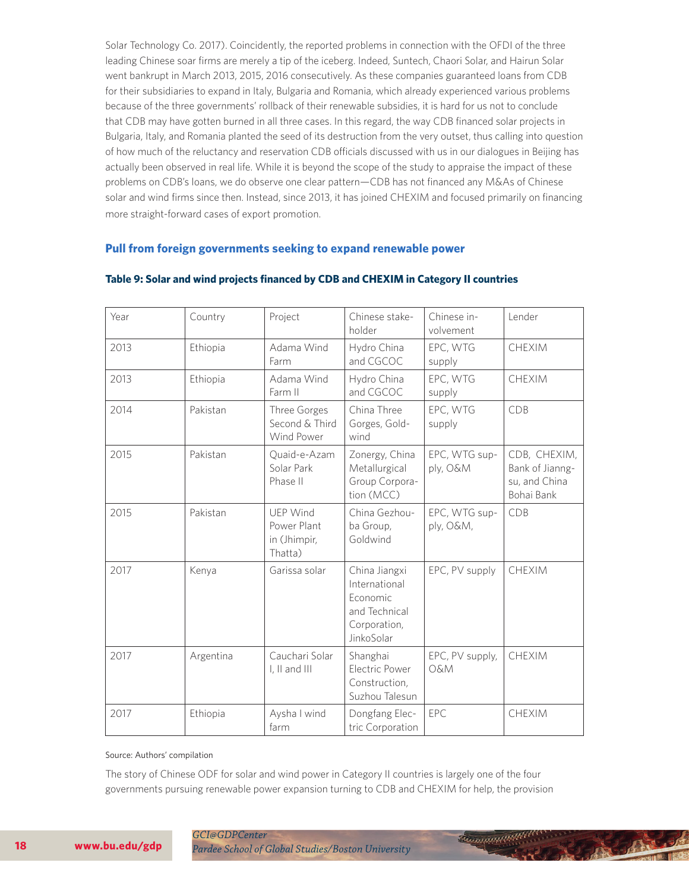Solar Technology Co. 2017). Coincidently, the reported problems in connection with the OFDI of the three leading Chinese soar firms are merely a tip of the iceberg. Indeed, Suntech, Chaori Solar, and Hairun Solar went bankrupt in March 2013, 2015, 2016 consecutively. As these companies guaranteed loans from CDB for their subsidiaries to expand in Italy, Bulgaria and Romania, which already experienced various problems because of the three governments' rollback of their renewable subsidies, it is hard for us not to conclude that CDB may have gotten burned in all three cases. In this regard, the way CDB financed solar projects in Bulgaria, Italy, and Romania planted the seed of its destruction from the very outset, thus calling into question of how much of the reluctancy and reservation CDB officials discussed with us in our dialogues in Beijing has actually been observed in real life. While it is beyond the scope of the study to appraise the impact of these problems on CDB's loans, we do observe one clear pattern—CDB has not financed any M&As of Chinese solar and wind firms since then. Instead, since 2013, it has joined CHEXIM and focused primarily on financing more straight-forward cases of export promotion.

## **Pull from foreign governments seeking to expand renewable power**

| Year | Country   | Project                                                   | Chinese stake-<br>holder                                                                  | Chinese in-<br>volvement          | Lender                                                         |
|------|-----------|-----------------------------------------------------------|-------------------------------------------------------------------------------------------|-----------------------------------|----------------------------------------------------------------|
| 2013 | Ethiopia  | Adama Wind<br>Farm                                        | Hydro China<br>and CGCOC                                                                  | EPC, WTG<br>supply                | <b>CHEXIM</b>                                                  |
| 2013 | Ethiopia  | Adama Wind<br>Farm II                                     | Hydro China<br>and CGCOC                                                                  | EPC, WTG<br>supply                | CHEXIM                                                         |
| 2014 | Pakistan  | Three Gorges<br>Second & Third<br>Wind Power              | China Three<br>Gorges, Gold-<br>wind                                                      | EPC, WTG<br>supply                | CDB                                                            |
| 2015 | Pakistan  | Quaid-e-Azam<br>Solar Park<br>Phase II                    | Zonergy, China<br>Metallurgical<br>Group Corpora-<br>tion (MCC)                           | EPC, WTG sup-<br>ply, O&M         | CDB, CHEXIM,<br>Bank of Jianng-<br>su, and China<br>Bohai Bank |
| 2015 | Pakistan  | <b>UEP Wind</b><br>Power Plant<br>in (Jhimpir,<br>Thatta) | China Gezhou-<br>ba Group,<br>Goldwind                                                    | EPC, WTG sup-<br>ply, O&M,        | CDB                                                            |
| 2017 | Kenya     | Garissa solar                                             | China Jiangxi<br>International<br>Economic<br>and Technical<br>Corporation,<br>JinkoSolar | EPC, PV supply                    | <b>CHEXIM</b>                                                  |
| 2017 | Argentina | Cauchari Solar<br>I, II and III                           | Shanghai<br>Electric Power<br>Construction,<br>Suzhou Talesun                             | EPC, PV supply,<br><b>O&amp;M</b> | CHEXIM                                                         |
| 2017 | Ethiopia  | Aysha I wind<br>farm                                      | Dongfang Elec-<br>tric Corporation                                                        | EPC                               | CHEXIM                                                         |

#### **Table 9: Solar and wind projects financed by CDB and CHEXIM in Category II countries**

#### Source: Authors' compilation

The story of Chinese ODF for solar and wind power in Category II countries is largely one of the four governments pursuing renewable power expansion turning to CDB and CHEXIM for help, the provision

Recommendable

AL AN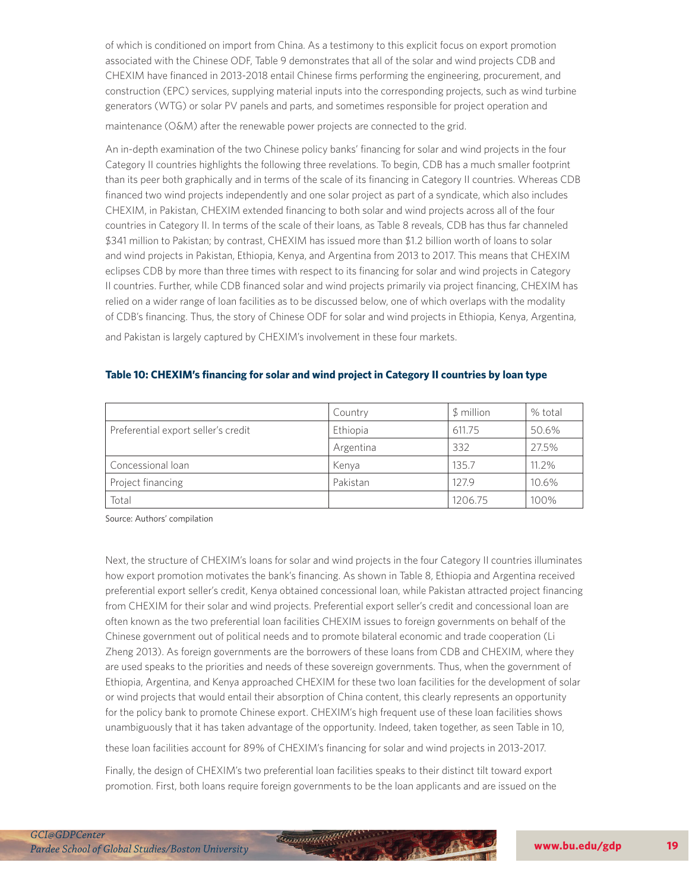of which is conditioned on import from China. As a testimony to this explicit focus on export promotion associated with the Chinese ODF, Table 9 demonstrates that all of the solar and wind projects CDB and CHEXIM have financed in 2013-2018 entail Chinese firms performing the engineering, procurement, and construction (EPC) services, supplying material inputs into the corresponding projects, such as wind turbine generators (WTG) or solar PV panels and parts, and sometimes responsible for project operation and

maintenance (O&M) after the renewable power projects are connected to the grid.

An in-depth examination of the two Chinese policy banks' financing for solar and wind projects in the four Category II countries highlights the following three revelations. To begin, CDB has a much smaller footprint than its peer both graphically and in terms of the scale of its financing in Category II countries. Whereas CDB financed two wind projects independently and one solar project as part of a syndicate, which also includes CHEXIM, in Pakistan, CHEXIM extended financing to both solar and wind projects across all of the four countries in Category II. In terms of the scale of their loans, as Table 8 reveals, CDB has thus far channeled \$341 million to Pakistan; by contrast, CHEXIM has issued more than \$1.2 billion worth of loans to solar and wind projects in Pakistan, Ethiopia, Kenya, and Argentina from 2013 to 2017. This means that CHEXIM eclipses CDB by more than three times with respect to its financing for solar and wind projects in Category II countries. Further, while CDB financed solar and wind projects primarily via project financing, CHEXIM has relied on a wider range of loan facilities as to be discussed below, one of which overlaps with the modality of CDB's financing. Thus, the story of Chinese ODF for solar and wind projects in Ethiopia, Kenya, Argentina,

and Pakistan is largely captured by CHEXIM's involvement in these four markets.

|                                     | Country   | $$$ million | % total  |
|-------------------------------------|-----------|-------------|----------|
| Preferential export seller's credit | Ethiopia  | 611.75      | 50.6%    |
|                                     | Argentina | 332         | 27.5%    |
| Concessional loan                   | Kenya     | 135.7       | $11.2\%$ |
| Project financing                   | Pakistan  | 127.9       | 10.6%    |
| Total                               |           | 1206.75     | 100%     |

## **Table 10: CHEXIM's financing for solar and wind project in Category II countries by loan type**

Source: Authors' compilation

Next, the structure of CHEXIM's loans for solar and wind projects in the four Category II countries illuminates how export promotion motivates the bank's financing. As shown in Table 8, Ethiopia and Argentina received preferential export seller's credit, Kenya obtained concessional loan, while Pakistan attracted project financing from CHEXIM for their solar and wind projects. Preferential export seller's credit and concessional loan are often known as the two preferential loan facilities CHEXIM issues to foreign governments on behalf of the Chinese government out of political needs and to promote bilateral economic and trade cooperation (Li Zheng 2013). As foreign governments are the borrowers of these loans from CDB and CHEXIM, where they are used speaks to the priorities and needs of these sovereign governments. Thus, when the government of Ethiopia, Argentina, and Kenya approached CHEXIM for these two loan facilities for the development of solar or wind projects that would entail their absorption of China content, this clearly represents an opportunity for the policy bank to promote Chinese export. CHEXIM's high frequent use of these loan facilities shows unambiguously that it has taken advantage of the opportunity. Indeed, taken together, as seen Table in 10,

these loan facilities account for 89% of CHEXIM's financing for solar and wind projects in 2013-2017.

Finally, the design of CHEXIM's two preferential loan facilities speaks to their distinct tilt toward export promotion. First, both loans require foreign governments to be the loan applicants and are issued on the

Recommendation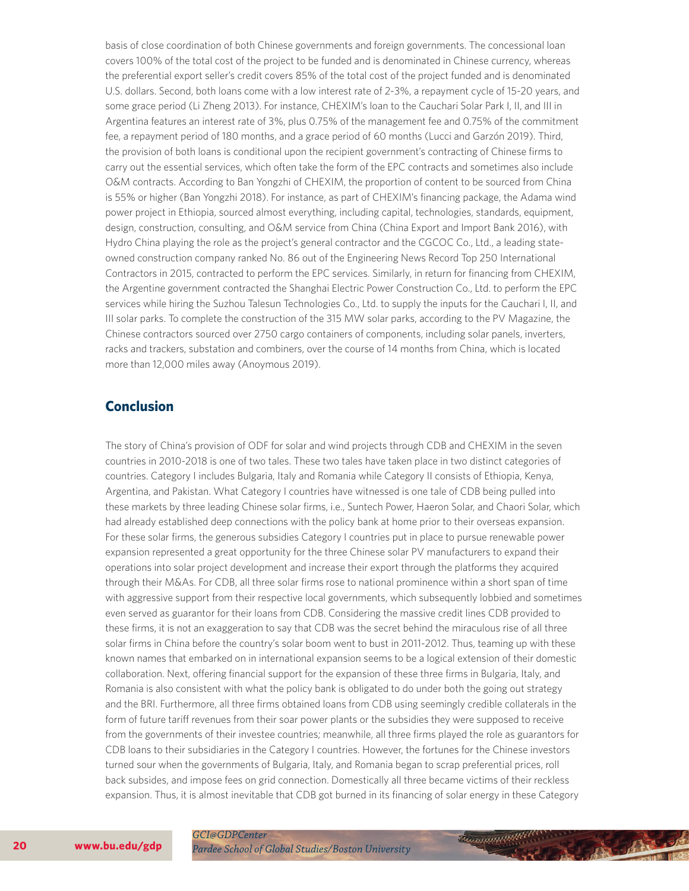basis of close coordination of both Chinese governments and foreign governments. The concessional loan covers 100% of the total cost of the project to be funded and is denominated in Chinese currency, whereas the preferential export seller's credit covers 85% of the total cost of the project funded and is denominated U.S. dollars. Second, both loans come with a low interest rate of 2-3%, a repayment cycle of 15-20 years, and some grace period (Li Zheng 2013). For instance, CHEXIM's loan to the Cauchari Solar Park I, II, and III in Argentina features an interest rate of 3%, plus 0.75% of the management fee and 0.75% of the commitment fee, a repayment period of 180 months, and a grace period of 60 months (Lucci and Garzón 2019). Third, the provision of both loans is conditional upon the recipient government's contracting of Chinese firms to carry out the essential services, which often take the form of the EPC contracts and sometimes also include O&M contracts. According to Ban Yongzhi of CHEXIM, the proportion of content to be sourced from China is 55% or higher (Ban Yongzhi 2018). For instance, as part of CHEXIM's financing package, the Adama wind power project in Ethiopia, sourced almost everything, including capital, technologies, standards, equipment, design, construction, consulting, and O&M service from China (China Export and Import Bank 2016), with Hydro China playing the role as the project's general contractor and the CGCOC Co., Ltd., a leading stateowned construction company ranked No. 86 out of the Engineering News Record Top 250 International Contractors in 2015, contracted to perform the EPC services. Similarly, in return for financing from CHEXIM, the Argentine government contracted the Shanghai Electric Power Construction Co., Ltd. to perform the EPC services while hiring the Suzhou Talesun Technologies Co., Ltd. to supply the inputs for the Cauchari I, II, and III solar parks. To complete the construction of the 315 MW solar parks, according to the PV Magazine, the Chinese contractors sourced over 2750 cargo containers of components, including solar panels, inverters, racks and trackers, substation and combiners, over the course of 14 months from China, which is located more than 12,000 miles away (Anoymous 2019).

# **Conclusion**

The story of China's provision of ODF for solar and wind projects through CDB and CHEXIM in the seven countries in 2010-2018 is one of two tales. These two tales have taken place in two distinct categories of countries. Category I includes Bulgaria, Italy and Romania while Category II consists of Ethiopia, Kenya, Argentina, and Pakistan. What Category I countries have witnessed is one tale of CDB being pulled into these markets by three leading Chinese solar firms, i.e., Suntech Power, Haeron Solar, and Chaori Solar, which had already established deep connections with the policy bank at home prior to their overseas expansion. For these solar firms, the generous subsidies Category I countries put in place to pursue renewable power expansion represented a great opportunity for the three Chinese solar PV manufacturers to expand their operations into solar project development and increase their export through the platforms they acquired through their M&As. For CDB, all three solar firms rose to national prominence within a short span of time with aggressive support from their respective local governments, which subsequently lobbied and sometimes even served as guarantor for their loans from CDB. Considering the massive credit lines CDB provided to these firms, it is not an exaggeration to say that CDB was the secret behind the miraculous rise of all three solar firms in China before the country's solar boom went to bust in 2011-2012. Thus, teaming up with these known names that embarked on in international expansion seems to be a logical extension of their domestic collaboration. Next, offering financial support for the expansion of these three firms in Bulgaria, Italy, and Romania is also consistent with what the policy bank is obligated to do under both the going out strategy and the BRI. Furthermore, all three firms obtained loans from CDB using seemingly credible collaterals in the form of future tariff revenues from their soar power plants or the subsidies they were supposed to receive from the governments of their investee countries; meanwhile, all three firms played the role as guarantors for CDB loans to their subsidiaries in the Category I countries. However, the fortunes for the Chinese investors turned sour when the governments of Bulgaria, Italy, and Romania began to scrap preferential prices, roll back subsides, and impose fees on grid connection. Domestically all three became victims of their reckless expansion. Thus, it is almost inevitable that CDB got burned in its financing of solar energy in these Category

Recommendable

JA AN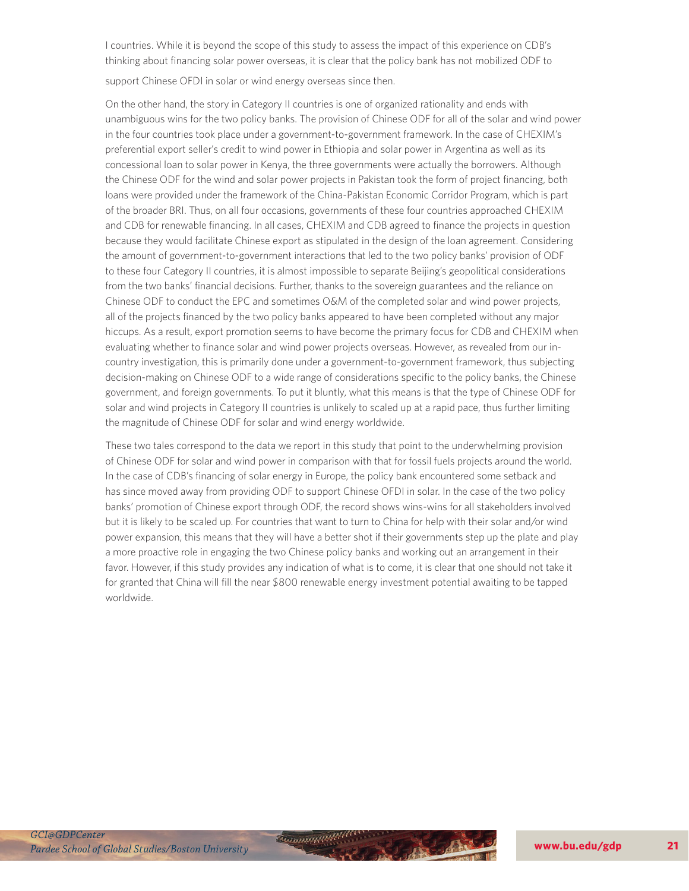I countries. While it is beyond the scope of this study to assess the impact of this experience on CDB's thinking about financing solar power overseas, it is clear that the policy bank has not mobilized ODF to support Chinese OFDI in solar or wind energy overseas since then.

On the other hand, the story in Category II countries is one of organized rationality and ends with unambiguous wins for the two policy banks. The provision of Chinese ODF for all of the solar and wind power in the four countries took place under a government-to-government framework. In the case of CHEXIM's preferential export seller's credit to wind power in Ethiopia and solar power in Argentina as well as its concessional loan to solar power in Kenya, the three governments were actually the borrowers. Although the Chinese ODF for the wind and solar power projects in Pakistan took the form of project financing, both loans were provided under the framework of the China-Pakistan Economic Corridor Program, which is part of the broader BRI. Thus, on all four occasions, governments of these four countries approached CHEXIM and CDB for renewable financing. In all cases, CHEXIM and CDB agreed to finance the projects in question because they would facilitate Chinese export as stipulated in the design of the loan agreement. Considering the amount of government-to-government interactions that led to the two policy banks' provision of ODF to these four Category II countries, it is almost impossible to separate Beijing's geopolitical considerations from the two banks' financial decisions. Further, thanks to the sovereign guarantees and the reliance on Chinese ODF to conduct the EPC and sometimes O&M of the completed solar and wind power projects, all of the projects financed by the two policy banks appeared to have been completed without any major hiccups. As a result, export promotion seems to have become the primary focus for CDB and CHEXIM when evaluating whether to finance solar and wind power projects overseas. However, as revealed from our incountry investigation, this is primarily done under a government-to-government framework, thus subjecting decision-making on Chinese ODF to a wide range of considerations specific to the policy banks, the Chinese government, and foreign governments. To put it bluntly, what this means is that the type of Chinese ODF for solar and wind projects in Category II countries is unlikely to scaled up at a rapid pace, thus further limiting the magnitude of Chinese ODF for solar and wind energy worldwide.

These two tales correspond to the data we report in this study that point to the underwhelming provision of Chinese ODF for solar and wind power in comparison with that for fossil fuels projects around the world. In the case of CDB's financing of solar energy in Europe, the policy bank encountered some setback and has since moved away from providing ODF to support Chinese OFDI in solar. In the case of the two policy banks' promotion of Chinese export through ODF, the record shows wins-wins for all stakeholders involved but it is likely to be scaled up. For countries that want to turn to China for help with their solar and/or wind power expansion, this means that they will have a better shot if their governments step up the plate and play a more proactive role in engaging the two Chinese policy banks and working out an arrangement in their favor. However, if this study provides any indication of what is to come, it is clear that one should not take it for granted that China will fill the near \$800 renewable energy investment potential awaiting to be tapped worldwide.

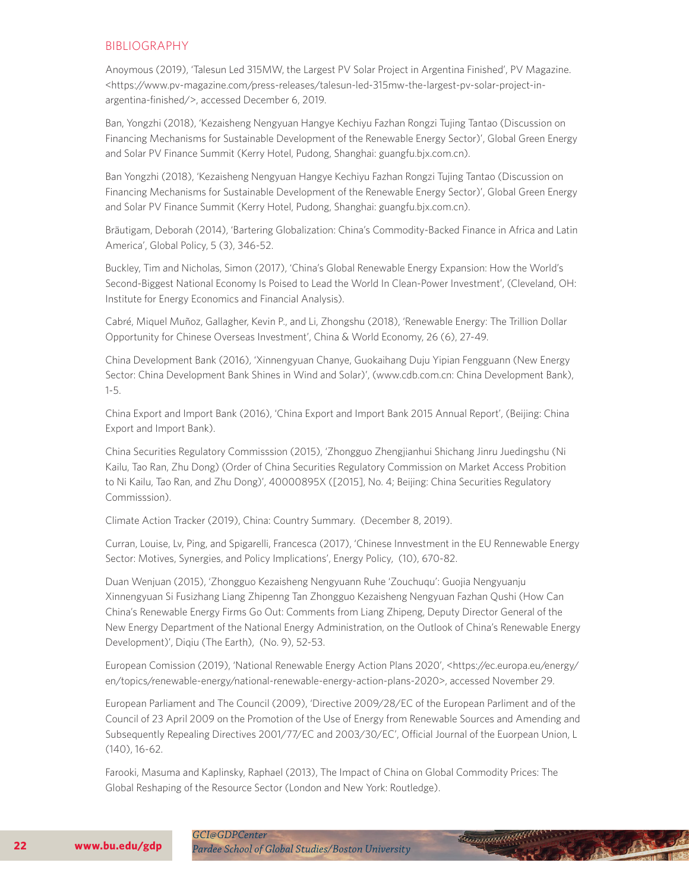# BIBLIOGRAPHY

Anoymous (2019), 'Talesun Led 315MW, the Largest PV Solar Project in Argentina Finished', PV Magazine. <https://www.pv-magazine.com/press-releases/talesun-led-315mw-the-largest-pv-solar-project-inargentina-finished/>, accessed December 6, 2019.

Ban, Yongzhi (2018), 'Kezaisheng Nengyuan Hangye Kechiyu Fazhan Rongzi Tujing Tantao (Discussion on Financing Mechanisms for Sustainable Development of the Renewable Energy Sector)', Global Green Energy and Solar PV Finance Summit (Kerry Hotel, Pudong, Shanghai: guangfu.bjx.com.cn).

Ban Yongzhi (2018), 'Kezaisheng Nengyuan Hangye Kechiyu Fazhan Rongzi Tujing Tantao (Discussion on Financing Mechanisms for Sustainable Development of the Renewable Energy Sector)', Global Green Energy and Solar PV Finance Summit (Kerry Hotel, Pudong, Shanghai: guangfu.bjx.com.cn).

Bräutigam, Deborah (2014), 'Bartering Globalization: China's Commodity-Backed Finance in Africa and Latin America', Global Policy, 5 (3), 346-52.

Buckley, Tim and Nicholas, Simon (2017), 'China's Global Renewable Energy Expansion: How the World's Second-Biggest National Economy Is Poised to Lead the World In Clean-Power Investment', (Cleveland, OH: Institute for Energy Economics and Financial Analysis).

Cabré, Miquel Muñoz, Gallagher, Kevin P., and Li, Zhongshu (2018), 'Renewable Energy: The Trillion Dollar Opportunity for Chinese Overseas Investment', China & World Economy, 26 (6), 27-49.

China Development Bank (2016), 'Xinnengyuan Chanye, Guokaihang Duju Yipian Fengguann (New Energy Sector: China Development Bank Shines in Wind and Solar)', (www.cdb.com.cn: China Development Bank), 1-5.

China Export and Import Bank (2016), 'China Export and Import Bank 2015 Annual Report', (Beijing: China Export and Import Bank).

China Securities Regulatory Commisssion (2015), 'Zhongguo Zhengjianhui Shichang Jinru Juedingshu (Ni Kailu, Tao Ran, Zhu Dong) (Order of China Securities Regulatory Commission on Market Access Probition to Ni Kailu, Tao Ran, and Zhu Dong)', 40000895X ([2015], No. 4; Beijing: China Securities Regulatory Commisssion).

Climate Action Tracker (2019), China: Country Summary. (December 8, 2019).

Curran, Louise, Lv, Ping, and Spigarelli, Francesca (2017), 'Chinese Innvestment in the EU Rennewable Energy Sector: Motives, Synergies, and Policy Implications', Energy Policy, (10), 670-82.

Duan Wenjuan (2015), 'Zhongguo Kezaisheng Nengyuann Ruhe 'Zouchuqu': Guojia Nengyuanju Xinnengyuan Si Fusizhang Liang Zhipenng Tan Zhongguo Kezaisheng Nengyuan Fazhan Qushi (How Can China's Renewable Energy Firms Go Out: Comments from Liang Zhipeng, Deputy Director General of the New Energy Department of the National Energy Administration, on the Outlook of China's Renewable Energy Development)', Diqiu (The Earth), (No. 9), 52-53.

European Comission (2019), 'National Renewable Energy Action Plans 2020', <https://ec.europa.eu/energy/ en/topics/renewable-energy/national-renewable-energy-action-plans-2020>, accessed November 29.

European Parliament and The Council (2009), 'Directive 2009/28/EC of the European Parliment and of the Council of 23 April 2009 on the Promotion of the Use of Energy from Renewable Sources and Amending and Subsequently Repealing Directives 2001/77/EC and 2003/30/EC', Official Journal of the Euorpean Union, L (140), 16-62.

Farooki, Masuma and Kaplinsky, Raphael (2013), The Impact of China on Global Commodity Prices: The Global Reshaping of the Resource Sector (London and New York: Routledge).

Recommendation

A Ar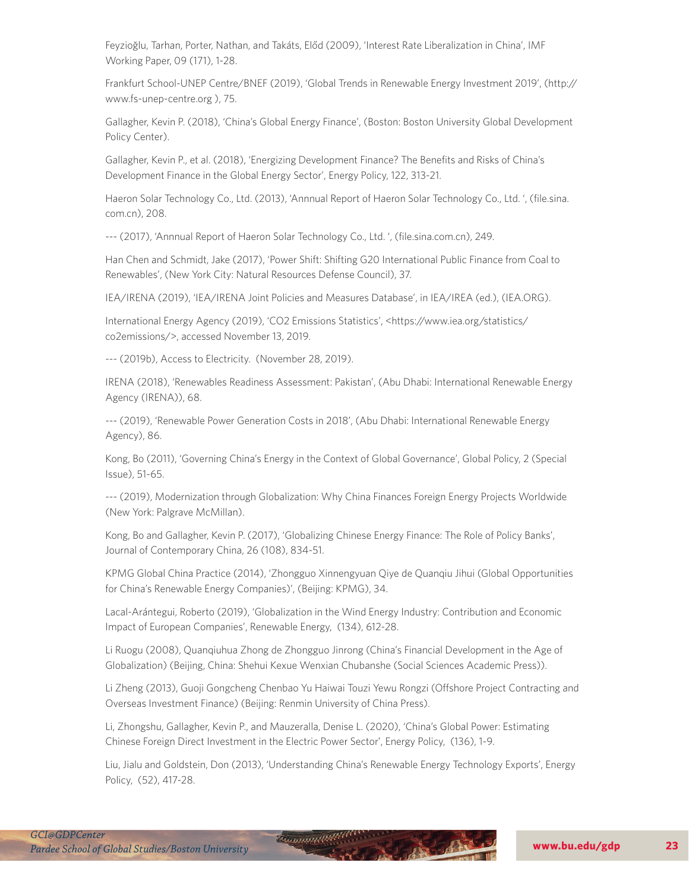Feyzioğlu, Tarhan, Porter, Nathan, and Takáts, Előd (2009), 'Interest Rate Liberalization in China', IMF Working Paper, 09 (171), 1-28.

Frankfurt School-UNEP Centre/BNEF (2019), 'Global Trends in Renewable Energy Investment 2019', (http:// www.fs-unep-centre.org ), 75.

Gallagher, Kevin P. (2018), 'China's Global Energy Finance', (Boston: Boston University Global Development Policy Center).

Gallagher, Kevin P., et al. (2018), 'Energizing Development Finance? The Benefits and Risks of China's Development Finance in the Global Energy Sector', Energy Policy, 122, 313-21.

Haeron Solar Technology Co., Ltd. (2013), 'Annnual Report of Haeron Solar Technology Co., Ltd. ', (file.sina. com.cn), 208.

--- (2017), 'Annnual Report of Haeron Solar Technology Co., Ltd. ', (file.sina.com.cn), 249.

Han Chen and Schmidt, Jake (2017), 'Power Shift: Shifting G20 International Public Finance from Coal to Renewables', (New York City: Natural Resources Defense Council), 37.

IEA/IRENA (2019), 'IEA/IRENA Joint Policies and Measures Database', in IEA/IREA (ed.), (IEA.ORG).

International Energy Agency (2019), 'CO2 Emissions Statistics', <https://www.iea.org/statistics/ co2emissions/>, accessed November 13, 2019.

--- (2019b), Access to Electricity. (November 28, 2019).

IRENA (2018), 'Renewables Readiness Assessment: Pakistan', (Abu Dhabi: International Renewable Energy Agency (IRENA)), 68.

--- (2019), 'Renewable Power Generation Costs in 2018', (Abu Dhabi: International Renewable Energy Agency), 86.

Kong, Bo (2011), 'Governing China's Energy in the Context of Global Governance', Global Policy, 2 (Special Issue), 51-65.

--- (2019), Modernization through Globalization: Why China Finances Foreign Energy Projects Worldwide (New York: Palgrave McMillan).

Kong, Bo and Gallagher, Kevin P. (2017), 'Globalizing Chinese Energy Finance: The Role of Policy Banks', Journal of Contemporary China, 26 (108), 834-51.

KPMG Global China Practice (2014), 'Zhongguo Xinnengyuan Qiye de Quanqiu Jihui (Global Opportunities for China's Renewable Energy Companies)', (Beijing: KPMG), 34.

Lacal-Arántegui, Roberto (2019), 'Globalization in the Wind Energy Industry: Contribution and Economic Impact of European Companies', Renewable Energy, (134), 612-28.

Li Ruogu (2008), Quanqiuhua Zhong de Zhongguo Jinrong (China's Financial Development in the Age of Globalization) (Beijing, China: Shehui Kexue Wenxian Chubanshe (Social Sciences Academic Press)).

Li Zheng (2013), Guoji Gongcheng Chenbao Yu Haiwai Touzi Yewu Rongzi (Offshore Project Contracting and Overseas Investment Finance) (Beijing: Renmin University of China Press).

Li, Zhongshu, Gallagher, Kevin P., and Mauzeralla, Denise L. (2020), 'China's Global Power: Estimating Chinese Foreign Direct Investment in the Electric Power Sector', Energy Policy, (136), 1-9.

**Community Contractions** 

Liu, Jialu and Goldstein, Don (2013), 'Understanding China's Renewable Energy Technology Exports', Energy Policy, (52), 417-28.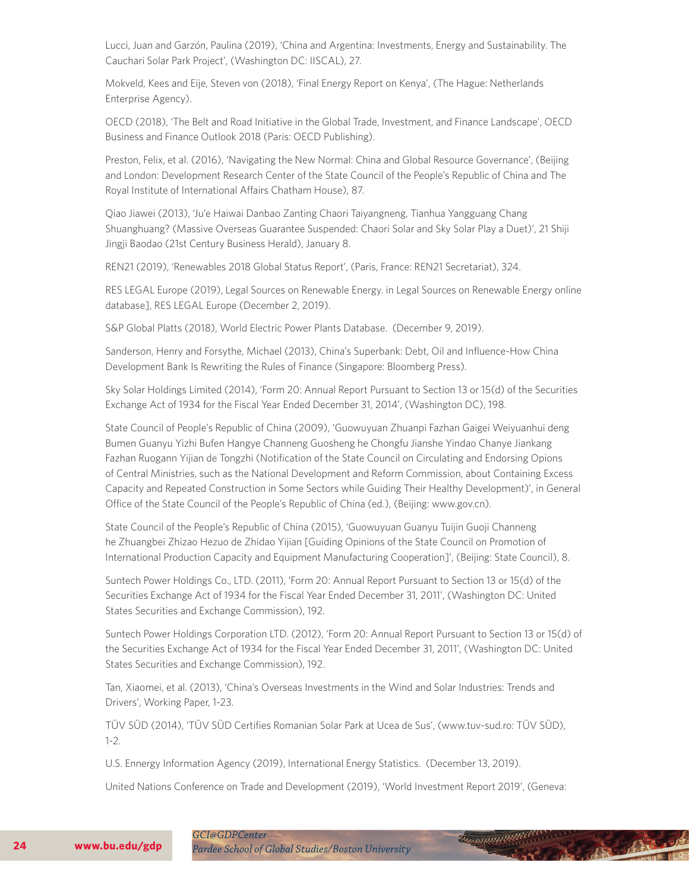Lucci, Juan and Garzón, Paulina (2019), 'China and Argentina: Investments, Energy and Sustainability. The Cauchari Solar Park Project', (Washington DC: IISCAL), 27.

Mokveld, Kees and Eije, Steven von (2018), 'Final Energy Report on Kenya', (The Hague: Netherlands Enterprise Agency).

OECD (2018), 'The Belt and Road Initiative in the Global Trade, Investment, and Finance Landscape', OECD Business and Finance Outlook 2018 (Paris: OECD Publishing).

Preston, Felix, et al. (2016), 'Navigating the New Normal: China and Global Resource Governance', (Beijing and London: Development Research Center of the State Council of the People's Republic of China and The Royal Institute of International Affairs Chatham House), 87.

Qiao Jiawei (2013), 'Ju'e Haiwai Danbao Zanting Chaori Taiyangneng, Tianhua Yangguang Chang Shuanghuang? (Massive Overseas Guarantee Suspended: Chaori Solar and Sky Solar Play a Duet)', 21 Shiji Jingji Baodao (21st Century Business Herald), January 8.

REN21 (2019), 'Renewables 2018 Global Status Report', (Paris, France: REN21 Secretariat), 324.

RES LEGAL Europe (2019), Legal Sources on Renewable Energy. in Legal Sources on Renewable Energy online database], RES LEGAL Europe (December 2, 2019).

S&P Global Platts (2018), World Electric Power Plants Database. (December 9, 2019).

Sanderson, Henry and Forsythe, Michael (2013), China's Superbank: Debt, Oil and Influence-How China Development Bank Is Rewriting the Rules of Finance (Singapore: Bloomberg Press).

Sky Solar Holdings Limited (2014), 'Form 20: Annual Report Pursuant to Section 13 or 15(d) of the Securities Exchange Act of 1934 for the Fiscal Year Ended December 31, 2014', (Washington DC), 198.

State Council of People's Republic of China (2009), 'Guowuyuan Zhuanpi Fazhan Gaigei Weiyuanhui deng Bumen Guanyu Yizhi Bufen Hangye Channeng Guosheng he Chongfu Jianshe Yindao Chanye Jiankang Fazhan Ruogann Yijian de Tongzhi (Notification of the State Council on Circulating and Endorsing Opions of Central Ministries, such as the National Development and Reform Commission, about Containing Excess Capacity and Repeated Construction in Some Sectors while Guiding Their Healthy Development)', in General Office of the State Council of the People's Republic of China (ed.), (Beijing: www.gov.cn).

State Council of the People's Republic of China (2015), 'Guowuyuan Guanyu Tuijin Guoji Channeng he Zhuangbei Zhizao Hezuo de Zhidao Yijian [Guiding Opinions of the State Council on Promotion of International Production Capacity and Equipment Manufacturing Cooperation]', (Beijing: State Council), 8.

Suntech Power Holdings Co., LTD. (2011), 'Form 20: Annual Report Pursuant to Section 13 or 15(d) of the Securities Exchange Act of 1934 for the Fiscal Year Ended December 31, 2011', (Washington DC: United States Securities and Exchange Commission), 192.

Suntech Power Holdings Corporation LTD. (2012), 'Form 20: Annual Report Pursuant to Section 13 or 15(d) of the Securities Exchange Act of 1934 for the Fiscal Year Ended December 31, 2011', (Washington DC: United States Securities and Exchange Commission), 192.

Tan, Xiaomei, et al. (2013), 'China's Overseas Investments in the Wind and Solar Industries: Trends and Drivers', Working Paper, 1-23.

TÜV SÜD (2014), 'TÜV SÜD Certifies Romanian Solar Park at Ucea de Sus', (www.tuv-sud.ro: TÜV SÜD), 1-2.

U.S. Ennergy Information Agency (2019), International Energy Statistics. (December 13, 2019).

United Nations Conference on Trade and Development (2019), 'World Investment Report 2019', (Geneva:

A AM

Recommendation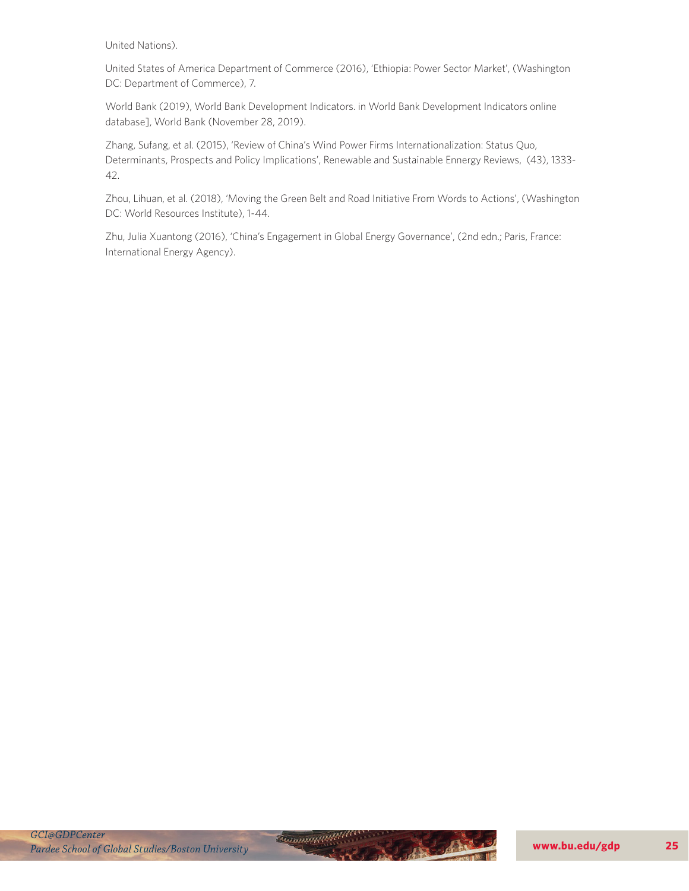United Nations).

United States of America Department of Commerce (2016), 'Ethiopia: Power Sector Market', (Washington DC: Department of Commerce), 7.

World Bank (2019), World Bank Development Indicators. in World Bank Development Indicators online database], World Bank (November 28, 2019).

Zhang, Sufang, et al. (2015), 'Review of China's Wind Power Firms Internationalization: Status Quo, Determinants, Prospects and Policy Implications', Renewable and Sustainable Ennergy Reviews, (43), 1333- 42.

Zhou, Lihuan, et al. (2018), 'Moving the Green Belt and Road Initiative From Words to Actions', (Washington DC: World Resources Institute), 1-44.

Zhu, Julia Xuantong (2016), 'China's Engagement in Global Energy Governance', (2nd edn.; Paris, France: International Energy Agency).